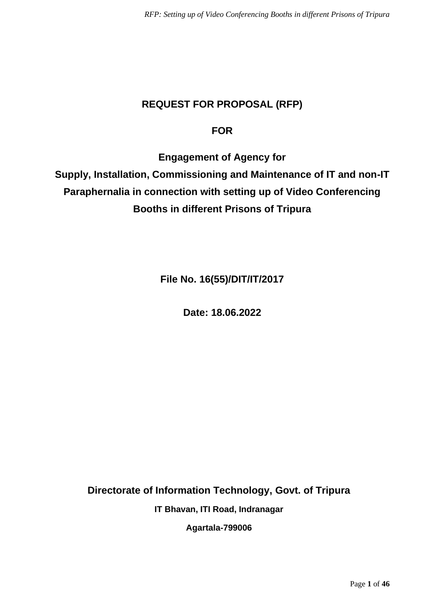# **REQUEST FOR PROPOSAL (RFP)**

# **FOR**

**Engagement of Agency for** 

**Supply, Installation, Commissioning and Maintenance of IT and non-IT Paraphernalia in connection with setting up of Video Conferencing Booths in different Prisons of Tripura**

**File No. 16(55)/DIT/IT/2017**

**Date: 18.06.2022**

**Directorate of Information Technology, Govt. of Tripura**

**IT Bhavan, ITI Road, Indranagar**

**Agartala-799006**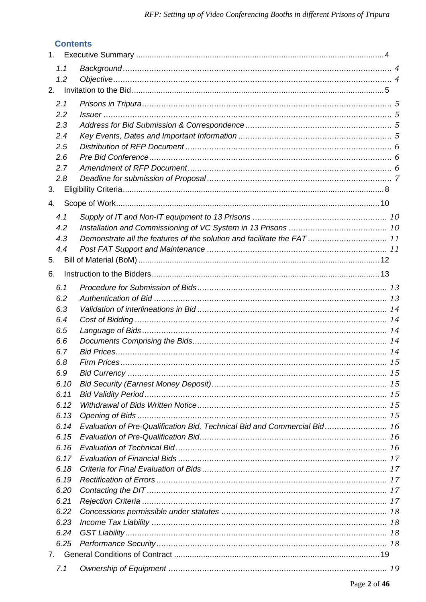# **Contents**

| 1.1<br>1.2 |                                                                          |  |
|------------|--------------------------------------------------------------------------|--|
| 2.         |                                                                          |  |
| 2.1<br>2.2 |                                                                          |  |
| 2.3        |                                                                          |  |
| 2.4        |                                                                          |  |
| 2.5        |                                                                          |  |
| 2.6        |                                                                          |  |
| 2.7        |                                                                          |  |
| 2.8        |                                                                          |  |
| 3.         |                                                                          |  |
|            |                                                                          |  |
| 4.         |                                                                          |  |
| 4.1        |                                                                          |  |
| 4.2        |                                                                          |  |
| 4.3        | Demonstrate all the features of the solution and facilitate the FAT 11   |  |
| 4.4        |                                                                          |  |
| 5.         |                                                                          |  |
| 6.         |                                                                          |  |
|            |                                                                          |  |
| 6.1        |                                                                          |  |
| 6.2        |                                                                          |  |
| 6.3        |                                                                          |  |
| 6.4        |                                                                          |  |
| 6.5        |                                                                          |  |
| 6.6        |                                                                          |  |
| 6.7        |                                                                          |  |
| 6.8        |                                                                          |  |
| 6.9        |                                                                          |  |
| 6.10       |                                                                          |  |
| 6.11       |                                                                          |  |
| 6.12       |                                                                          |  |
| 6.13       |                                                                          |  |
| 6.14       | Evaluation of Pre-Qualification Bid, Technical Bid and Commercial Bid 16 |  |
| 6.15       |                                                                          |  |
| 6.16       |                                                                          |  |
| 6.17       |                                                                          |  |
| 6.18       |                                                                          |  |
| 6.19       |                                                                          |  |
| 6.20       |                                                                          |  |
| 6.21       |                                                                          |  |
| 6.22       |                                                                          |  |
| 6.23       |                                                                          |  |
| 6.24       |                                                                          |  |
| 6.25       |                                                                          |  |
|            |                                                                          |  |
|            |                                                                          |  |
| 7.1        |                                                                          |  |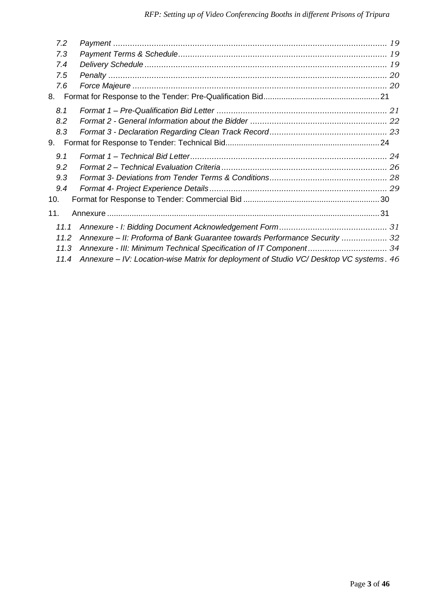| 7.2  |                                                                                        |  |
|------|----------------------------------------------------------------------------------------|--|
| 7.3  |                                                                                        |  |
| 7.4  |                                                                                        |  |
| 7.5  |                                                                                        |  |
| 7.6  |                                                                                        |  |
| 8.   |                                                                                        |  |
| 8.1  |                                                                                        |  |
| 8.2  |                                                                                        |  |
| 8.3  |                                                                                        |  |
| 9.   |                                                                                        |  |
| 9.1  |                                                                                        |  |
| 9.2  |                                                                                        |  |
| 9.3  |                                                                                        |  |
| 9.4  |                                                                                        |  |
| 10.  |                                                                                        |  |
| 11.  |                                                                                        |  |
| 11.1 |                                                                                        |  |
| 11.2 | Annexure – II: Proforma of Bank Guarantee towards Performance Security  32             |  |
| 11.3 |                                                                                        |  |
| 11.4 | Annexure - IV: Location-wise Matrix for deployment of Studio VC/Desktop VC systems. 46 |  |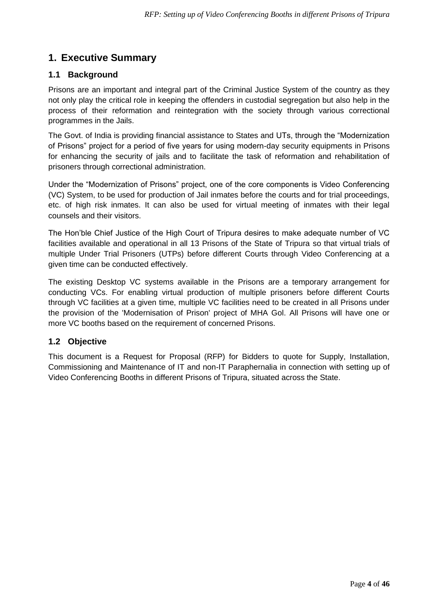# <span id="page-3-0"></span>**1. Executive Summary**

## <span id="page-3-1"></span>**1.1 Background**

Prisons are an important and integral part of the Criminal Justice System of the country as they not only play the critical role in keeping the offenders in custodial segregation but also help in the process of their reformation and reintegration with the society through various correctional programmes in the Jails.

The Govt. of India is providing financial assistance to States and UTs, through the "Modernization of Prisons" project for a period of five years for using modern-day security equipments in Prisons for enhancing the security of jails and to facilitate the task of reformation and rehabilitation of prisoners through correctional administration.

Under the "Modernization of Prisons" project, one of the core components is Video Conferencing (VC) System, to be used for production of Jail inmates before the courts and for trial proceedings, etc. of high risk inmates. It can also be used for virtual meeting of inmates with their legal counsels and their visitors.

The Hon'ble Chief Justice of the High Court of Tripura desires to make adequate number of VC facilities available and operational in all 13 Prisons of the State of Tripura so that virtual trials of multiple Under Trial Prisoners (UTPs) before different Courts through Video Conferencing at a given time can be conducted effectively.

The existing Desktop VC systems available in the Prisons are a temporary arrangement for conducting VCs. For enabling virtual production of multiple prisoners before different Courts through VC facilities at a given time, multiple VC facilities need to be created in all Prisons under the provision of the 'Modernisation of Prison' project of MHA Gol. All Prisons will have one or more VC booths based on the requirement of concerned Prisons.

## <span id="page-3-2"></span>**1.2 Objective**

This document is a Request for Proposal (RFP) for Bidders to quote for Supply, Installation, Commissioning and Maintenance of IT and non-IT Paraphernalia in connection with setting up of Video Conferencing Booths in different Prisons of Tripura, situated across the State.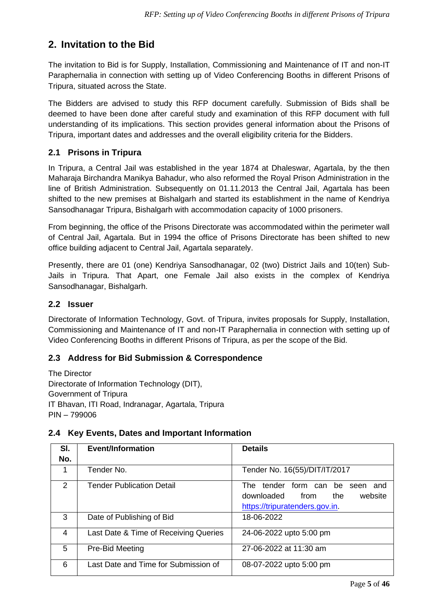# <span id="page-4-0"></span>**2. Invitation to the Bid**

The invitation to Bid is for Supply, Installation, Commissioning and Maintenance of IT and non-IT Paraphernalia in connection with setting up of Video Conferencing Booths in different Prisons of Tripura, situated across the State.

The Bidders are advised to study this RFP document carefully. Submission of Bids shall be deemed to have been done after careful study and examination of this RFP document with full understanding of its implications. This section provides general information about the Prisons of Tripura, important dates and addresses and the overall eligibility criteria for the Bidders.

# <span id="page-4-1"></span>**2.1 Prisons in Tripura**

In Tripura, a Central Jail was established in the year 1874 at Dhaleswar, Agartala, by the then Maharaja Birchandra Manikya Bahadur, who also reformed the Royal Prison Administration in the line of British Administration. Subsequently on 01.11.2013 the Central Jail, Agartala has been shifted to the new premises at Bishalgarh and started its establishment in the name of Kendriya Sansodhanagar Tripura, Bishalgarh with accommodation capacity of 1000 prisoners.

From beginning, the office of the Prisons Directorate was accommodated within the perimeter wall of Central Jail, Agartala. But in 1994 the office of Prisons Directorate has been shifted to new office building adjacent to Central Jail, Agartala separately.

Presently, there are 01 (one) Kendriya Sansodhanagar, 02 (two) District Jails and 10(ten) Sub-Jails in Tripura. That Apart, one Female Jail also exists in the complex of Kendriya Sansodhanagar, Bishalgarh.

## <span id="page-4-2"></span>**2.2 Issuer**

Directorate of Information Technology, Govt. of Tripura, invites proposals for Supply, Installation, Commissioning and Maintenance of IT and non-IT Paraphernalia in connection with setting up of Video Conferencing Booths in different Prisons of Tripura, as per the scope of the Bid.

## <span id="page-4-3"></span>**2.3 Address for Bid Submission & Correspondence**

The Director Directorate of Information Technology (DIT), Government of Tripura IT Bhavan, ITI Road, Indranagar, Agartala, Tripura PIN – 799006

#### <span id="page-4-4"></span>**2.4 Key Events, Dates and Important Information**

| SI.           | <b>Event/Information</b>              | <b>Details</b>                                                                                               |
|---------------|---------------------------------------|--------------------------------------------------------------------------------------------------------------|
| No.           |                                       |                                                                                                              |
| 1             | Tender No.                            | Tender No. 16(55)/DIT/IT/2017                                                                                |
| $\mathcal{P}$ | <b>Tender Publication Detail</b>      | tender form can be seen<br>The<br>and<br>downloaded from<br>the<br>website<br>https://tripuratenders.gov.in. |
| 3             | Date of Publishing of Bid             | 18-06-2022                                                                                                   |
| 4             | Last Date & Time of Receiving Queries | 24-06-2022 upto 5:00 pm                                                                                      |
| 5             | Pre-Bid Meeting                       | 27-06-2022 at 11:30 am                                                                                       |
| 6             | Last Date and Time for Submission of  | 08-07-2022 upto 5:00 pm                                                                                      |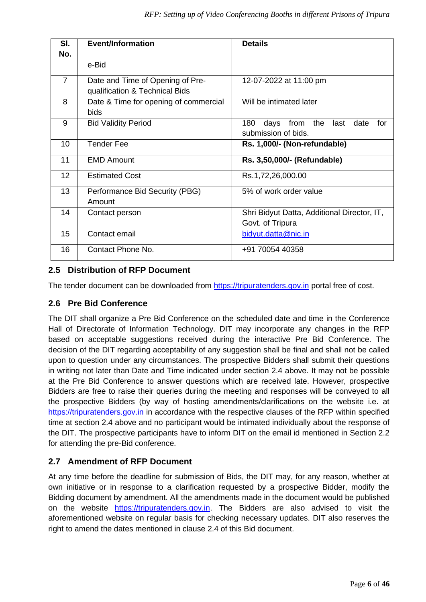| SI.             | <b>Event/Information</b>                                           | <b>Details</b>                                                        |
|-----------------|--------------------------------------------------------------------|-----------------------------------------------------------------------|
| No.             |                                                                    |                                                                       |
|                 | e-Bid                                                              |                                                                       |
| $\overline{7}$  | Date and Time of Opening of Pre-<br>qualification & Technical Bids | 12-07-2022 at 11:00 pm                                                |
| 8               | Date & Time for opening of commercial<br><b>bids</b>               | Will be intimated later                                               |
| 9               | <b>Bid Validity Period</b>                                         | 180<br>days<br>from the<br>last<br>date<br>for<br>submission of bids. |
| 10 <sup>1</sup> | <b>Tender Fee</b>                                                  | Rs. 1,000/- (Non-refundable)                                          |
| 11              | <b>EMD Amount</b>                                                  | Rs. 3,50,000/- (Refundable)                                           |
| 12              | <b>Estimated Cost</b>                                              | Rs.1,72,26,000.00                                                     |
| 13              | Performance Bid Security (PBG)<br>Amount                           | 5% of work order value                                                |
| 14              | Contact person                                                     | Shri Bidyut Datta, Additional Director, IT,<br>Govt. of Tripura       |
| 15              | Contact email                                                      | bidyut.datta@nic.in                                                   |
| 16              | Contact Phone No.                                                  | +91 70054 40358                                                       |

### <span id="page-5-0"></span>**2.5 Distribution of RFP Document**

The tender document can be downloaded from [https://tripuratenders.gov.in](https://tripuratenders.gov.in/) portal free of cost.

#### <span id="page-5-1"></span>**2.6 Pre Bid Conference**

The DIT shall organize a Pre Bid Conference on the scheduled date and time in the Conference Hall of Directorate of Information Technology. DIT may incorporate any changes in the RFP based on acceptable suggestions received during the interactive Pre Bid Conference. The decision of the DIT regarding acceptability of any suggestion shall be final and shall not be called upon to question under any circumstances. The prospective Bidders shall submit their questions in writing not later than Date and Time indicated under section 2.4 above. It may not be possible at the Pre Bid Conference to answer questions which are received late. However, prospective Bidders are free to raise their queries during the meeting and responses will be conveyed to all the prospective Bidders (by way of hosting amendments/clarifications on the website i.e. at [https://tripuratenders.gov.in](https://tripuratenders.gov.in/) in accordance with the respective clauses of the RFP within specified time at section 2.4 above and no participant would be intimated individually about the response of the DIT. The prospective participants have to inform DIT on the email id mentioned in Section 2.2 for attending the pre-Bid conference.

#### <span id="page-5-2"></span>**2.7 Amendment of RFP Document**

At any time before the deadline for submission of Bids, the DIT may, for any reason, whether at own initiative or in response to a clarification requested by a prospective Bidder, modify the Bidding document by amendment. All the amendments made in the document would be published on the website [https://tripuratenders.gov.in.](https://tripuratenders.gov.in/) The Bidders are also advised to visit the aforementioned website on regular basis for checking necessary updates. DIT also reserves the right to amend the dates mentioned in clause 2.4 of this Bid document.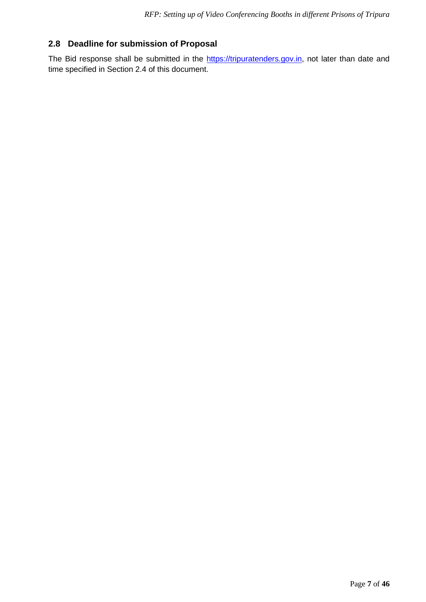# <span id="page-6-0"></span>**2.8 Deadline for submission of Proposal**

The Bid response shall be submitted in the [https://tripuratenders.gov.in,](https://tripuratenders.gov.in/) not later than date and time specified in Section 2.4 of this document.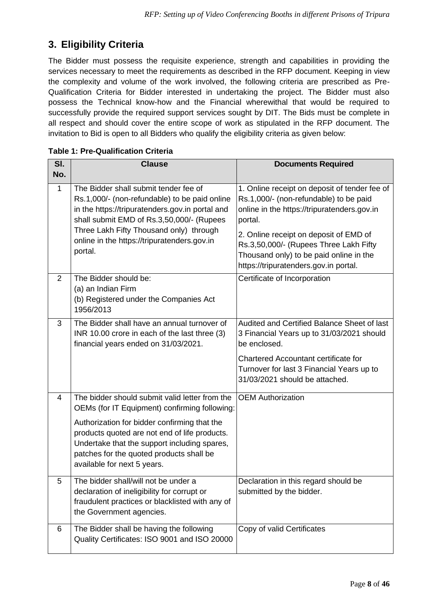# <span id="page-7-0"></span>**3. Eligibility Criteria**

The Bidder must possess the requisite experience, strength and capabilities in providing the services necessary to meet the requirements as described in the RFP document. Keeping in view the complexity and volume of the work involved, the following criteria are prescribed as Pre-Qualification Criteria for Bidder interested in undertaking the project. The Bidder must also possess the Technical know-how and the Financial wherewithal that would be required to successfully provide the required support services sought by DIT. The Bids must be complete in all respect and should cover the entire scope of work as stipulated in the RFP document. The invitation to Bid is open to all Bidders who qualify the eligibility criteria as given below:

| SI.            | <b>Clause</b>                                                                                                                                                                                                                                                                                                               | <b>Documents Required</b>                                                                                                                                                                                                                                                                                                 |
|----------------|-----------------------------------------------------------------------------------------------------------------------------------------------------------------------------------------------------------------------------------------------------------------------------------------------------------------------------|---------------------------------------------------------------------------------------------------------------------------------------------------------------------------------------------------------------------------------------------------------------------------------------------------------------------------|
| No.            |                                                                                                                                                                                                                                                                                                                             |                                                                                                                                                                                                                                                                                                                           |
| $\mathbf{1}$   | The Bidder shall submit tender fee of<br>Rs.1,000/- (non-refundable) to be paid online<br>in the https://tripuratenders.gov.in portal and<br>shall submit EMD of Rs.3,50,000/- (Rupees<br>Three Lakh Fifty Thousand only) through<br>online in the https://tripuratenders.gov.in<br>portal.                                 | 1. Online receipt on deposit of tender fee of<br>Rs.1,000/- (non-refundable) to be paid<br>online in the https://tripuratenders.gov.in<br>portal.<br>2. Online receipt on deposit of EMD of<br>Rs.3,50,000/- (Rupees Three Lakh Fifty<br>Thousand only) to be paid online in the<br>https://tripuratenders.gov.in portal. |
| 2              | The Bidder should be:<br>(a) an Indian Firm<br>(b) Registered under the Companies Act<br>1956/2013                                                                                                                                                                                                                          | Certificate of Incorporation                                                                                                                                                                                                                                                                                              |
| 3              | The Bidder shall have an annual turnover of<br>INR 10.00 crore in each of the last three (3)<br>financial years ended on 31/03/2021.                                                                                                                                                                                        | Audited and Certified Balance Sheet of last<br>3 Financial Years up to 31/03/2021 should<br>be enclosed.<br><b>Chartered Accountant certificate for</b><br>Turnover for last 3 Financial Years up to<br>31/03/2021 should be attached.                                                                                    |
| $\overline{4}$ | The bidder should submit valid letter from the<br>OEMs (for IT Equipment) confirming following:<br>Authorization for bidder confirming that the<br>products quoted are not end of life products.<br>Undertake that the support including spares,<br>patches for the quoted products shall be<br>available for next 5 years. | <b>OEM Authorization</b>                                                                                                                                                                                                                                                                                                  |
| 5              | The bidder shall/will not be under a<br>declaration of ineligibility for corrupt or<br>fraudulent practices or blacklisted with any of<br>the Government agencies.                                                                                                                                                          | Declaration in this regard should be<br>submitted by the bidder.                                                                                                                                                                                                                                                          |
| 6              | The Bidder shall be having the following<br>Quality Certificates: ISO 9001 and ISO 20000                                                                                                                                                                                                                                    | Copy of valid Certificates                                                                                                                                                                                                                                                                                                |

#### **Table 1: Pre-Qualification Criteria**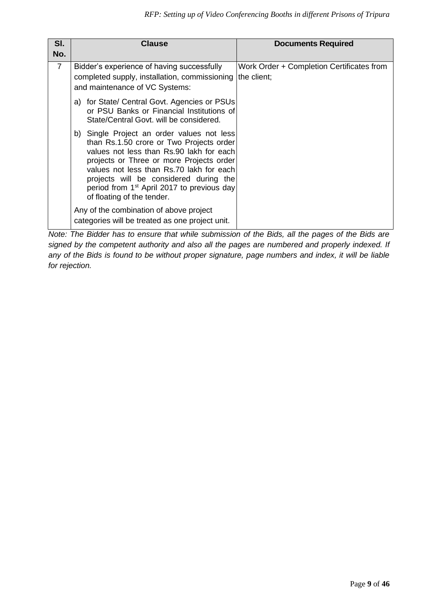| SI.<br>No.     | <b>Clause</b>                                                                                                                                                                                                                                                                                                                                                | <b>Documents Required</b>                 |
|----------------|--------------------------------------------------------------------------------------------------------------------------------------------------------------------------------------------------------------------------------------------------------------------------------------------------------------------------------------------------------------|-------------------------------------------|
| $\overline{7}$ | Bidder's experience of having successfully<br>completed supply, installation, commissioning the client;<br>and maintenance of VC Systems:                                                                                                                                                                                                                    | Work Order + Completion Certificates from |
|                | a) for State/ Central Govt. Agencies or PSUs<br>or PSU Banks or Financial Institutions of<br>State/Central Govt, will be considered.                                                                                                                                                                                                                         |                                           |
|                | b) Single Project an order values not less<br>than Rs.1.50 crore or Two Projects order<br>values not less than Rs.90 lakh for each<br>projects or Three or more Projects order<br>values not less than Rs.70 lakh for each<br>projects will be considered during the<br>period from 1 <sup>st</sup> April 2017 to previous day<br>of floating of the tender. |                                           |
|                | Any of the combination of above project<br>categories will be treated as one project unit.                                                                                                                                                                                                                                                                   |                                           |

*Note: The Bidder has to ensure that while submission of the Bids, all the pages of the Bids are signed by the competent authority and also all the pages are numbered and properly indexed. If any of the Bids is found to be without proper signature, page numbers and index, it will be liable for rejection.*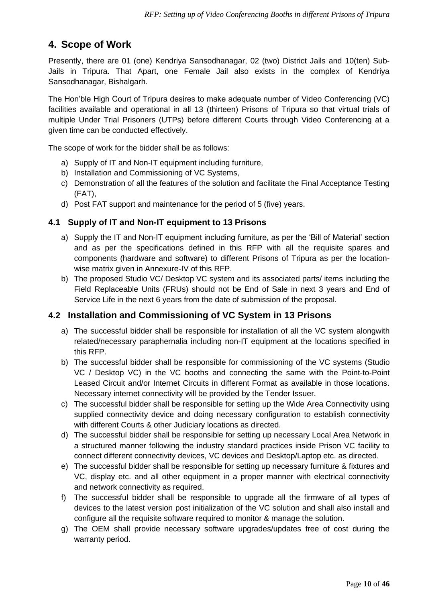# <span id="page-9-0"></span>**4. Scope of Work**

Presently, there are 01 (one) Kendriya Sansodhanagar, 02 (two) District Jails and 10(ten) Sub-Jails in Tripura. That Apart, one Female Jail also exists in the complex of Kendriya Sansodhanagar, Bishalgarh.

The Hon'ble High Court of Tripura desires to make adequate number of Video Conferencing (VC) facilities available and operational in all 13 (thirteen) Prisons of Tripura so that virtual trials of multiple Under Trial Prisoners (UTPs) before different Courts through Video Conferencing at a given time can be conducted effectively.

The scope of work for the bidder shall be as follows:

- a) Supply of IT and Non-IT equipment including furniture,
- b) Installation and Commissioning of VC Systems,
- c) Demonstration of all the features of the solution and facilitate the Final Acceptance Testing (FAT),
- d) Post FAT support and maintenance for the period of 5 (five) years.

#### <span id="page-9-1"></span>**4.1 Supply of IT and Non-IT equipment to 13 Prisons**

- a) Supply the IT and Non-IT equipment including furniture, as per the 'Bill of Material' section and as per the specifications defined in this RFP with all the requisite spares and components (hardware and software) to different Prisons of Tripura as per the locationwise matrix given in Annexure-IV of this RFP.
- b) The proposed Studio VC/ Desktop VC system and its associated parts/ items including the Field Replaceable Units (FRUs) should not be End of Sale in next 3 years and End of Service Life in the next 6 years from the date of submission of the proposal.

## <span id="page-9-2"></span>**4.2 Installation and Commissioning of VC System in 13 Prisons**

- a) The successful bidder shall be responsible for installation of all the VC system alongwith related/necessary paraphernalia including non-IT equipment at the locations specified in this RFP.
- b) The successful bidder shall be responsible for commissioning of the VC systems (Studio VC / Desktop VC) in the VC booths and connecting the same with the Point-to-Point Leased Circuit and/or Internet Circuits in different Format as available in those locations. Necessary internet connectivity will be provided by the Tender Issuer.
- c) The successful bidder shall be responsible for setting up the Wide Area Connectivity using supplied connectivity device and doing necessary configuration to establish connectivity with different Courts & other Judiciary locations as directed.
- d) The successful bidder shall be responsible for setting up necessary Local Area Network in a structured manner following the industry standard practices inside Prison VC facility to connect different connectivity devices, VC devices and Desktop/Laptop etc. as directed.
- e) The successful bidder shall be responsible for setting up necessary furniture & fixtures and VC, display etc. and all other equipment in a proper manner with electrical connectivity and network connectivity as required.
- f) The successful bidder shall be responsible to upgrade all the firmware of all types of devices to the latest version post initialization of the VC solution and shall also install and configure all the requisite software required to monitor & manage the solution.
- g) The OEM shall provide necessary software upgrades/updates free of cost during the warranty period.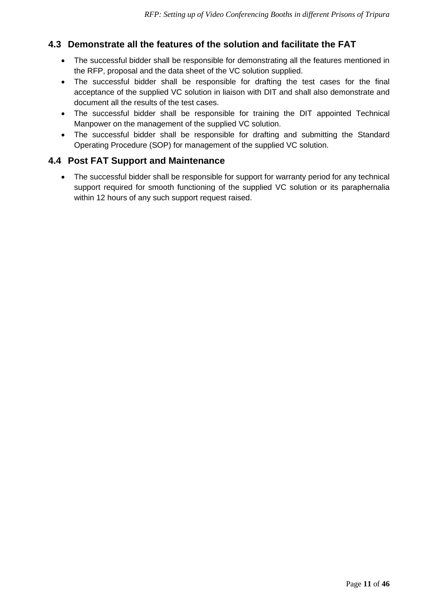# <span id="page-10-0"></span>**4.3 Demonstrate all the features of the solution and facilitate the FAT**

- The successful bidder shall be responsible for demonstrating all the features mentioned in the RFP, proposal and the data sheet of the VC solution supplied.
- The successful bidder shall be responsible for drafting the test cases for the final acceptance of the supplied VC solution in liaison with DIT and shall also demonstrate and document all the results of the test cases.
- The successful bidder shall be responsible for training the DIT appointed Technical Manpower on the management of the supplied VC solution.
- The successful bidder shall be responsible for drafting and submitting the Standard Operating Procedure (SOP) for management of the supplied VC solution.

## <span id="page-10-1"></span>**4.4 Post FAT Support and Maintenance**

• The successful bidder shall be responsible for support for warranty period for any technical support required for smooth functioning of the supplied VC solution or its paraphernalia within 12 hours of any such support request raised.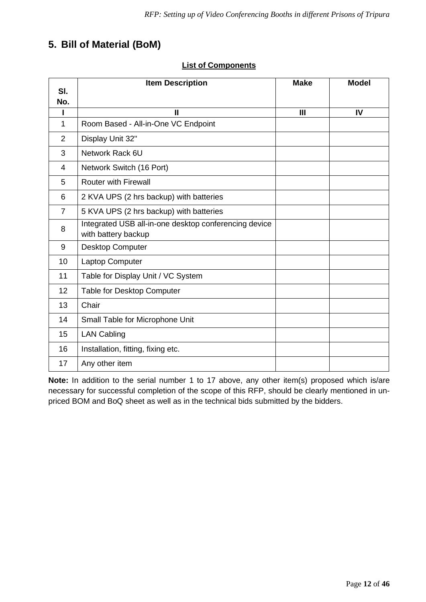# <span id="page-11-0"></span>**5. Bill of Material (BoM)**

|                | <b>Item Description</b>                                                      | <b>Make</b> | <b>Model</b> |
|----------------|------------------------------------------------------------------------------|-------------|--------------|
| SI.<br>No.     |                                                                              |             |              |
|                | Ш                                                                            | III         | IV           |
| 1              | Room Based - All-in-One VC Endpoint                                          |             |              |
| 2              | Display Unit 32"                                                             |             |              |
| 3              | Network Rack 6U                                                              |             |              |
| 4              | Network Switch (16 Port)                                                     |             |              |
| 5              | <b>Router with Firewall</b>                                                  |             |              |
| 6              | 2 KVA UPS (2 hrs backup) with batteries                                      |             |              |
| $\overline{7}$ | 5 KVA UPS (2 hrs backup) with batteries                                      |             |              |
| 8              | Integrated USB all-in-one desktop conferencing device<br>with battery backup |             |              |
| 9              | <b>Desktop Computer</b>                                                      |             |              |
| 10             | Laptop Computer                                                              |             |              |
| 11             | Table for Display Unit / VC System                                           |             |              |
| 12             | Table for Desktop Computer                                                   |             |              |
| 13             | Chair                                                                        |             |              |
| 14             | Small Table for Microphone Unit                                              |             |              |
| 15             | <b>LAN Cabling</b>                                                           |             |              |
| 16             | Installation, fitting, fixing etc.                                           |             |              |
| 17             | Any other item                                                               |             |              |

#### **List of Components**

**Note:** In addition to the serial number 1 to 17 above, any other item(s) proposed which is/are necessary for successful completion of the scope of this RFP, should be clearly mentioned in unpriced BOM and BoQ sheet as well as in the technical bids submitted by the bidders.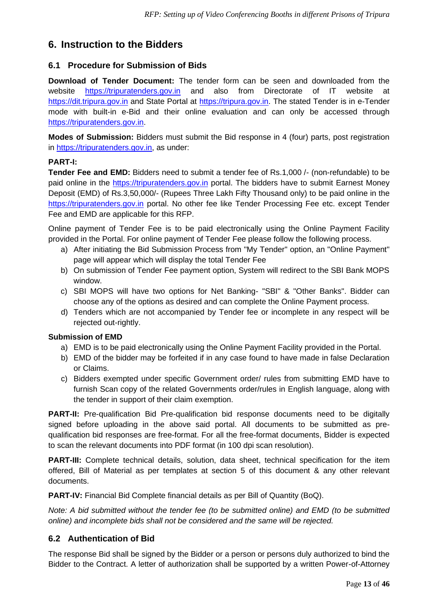# <span id="page-12-0"></span>**6. Instruction to the Bidders**

### <span id="page-12-1"></span>**6.1 Procedure for Submission of Bids**

**Download of Tender Document:** The tender form can be seen and downloaded from the website [https://tripuratenders.gov.in](https://tripuratenders.gov.in/) and also from Directorate of IT website at [https://dit.tripura.gov.in](https://dit.tripura.gov.in/) and State Portal at [https://tripura.gov.in.](https://tripura.gov.in/) The stated Tender is in e-Tender mode with built-in e-Bid and their online evaluation and can only be accessed through [https://tripuratenders.gov.in.](https://tripuratenders.gov.in/)

**Modes of Submission:** Bidders must submit the Bid response in 4 (four) parts, post registration in [https://tripuratenders.gov.in,](https://tripuratenders.gov.in/) as under:

#### **PART-I:**

**Tender Fee and EMD:** Bidders need to submit a tender fee of Rs.1,000 /- (non-refundable) to be paid online in the [https://tripuratenders.gov.in](https://tripuratenders.gov.in/) portal. The bidders have to submit Earnest Money Deposit (EMD) of Rs.3,50,000/- (Rupees Three Lakh Fifty Thousand only) to be paid online in the [https://tripuratenders.gov.in](https://tripuratenders.gov.in/) portal. No other fee like Tender Processing Fee etc. except Tender Fee and EMD are applicable for this RFP.

Online payment of Tender Fee is to be paid electronically using the Online Payment Facility provided in the Portal. For online payment of Tender Fee please follow the following process.

- a) After initiating the Bid Submission Process from "My Tender" option, an "Online Payment" page will appear which will display the total Tender Fee
- b) On submission of Tender Fee payment option, System will redirect to the SBI Bank MOPS window.
- c) SBI MOPS will have two options for Net Banking- "SBI" & "Other Banks". Bidder can choose any of the options as desired and can complete the Online Payment process.
- d) Tenders which are not accompanied by Tender fee or incomplete in any respect will be rejected out-rightly.

#### **Submission of EMD**

- a) EMD is to be paid electronically using the Online Payment Facility provided in the Portal.
- b) EMD of the bidder may be forfeited if in any case found to have made in false Declaration or Claims.
- c) Bidders exempted under specific Government order/ rules from submitting EMD have to furnish Scan copy of the related Governments order/rules in English language, along with the tender in support of their claim exemption.

**PART-II:** Pre-qualification Bid Pre-qualification bid response documents need to be digitally signed before uploading in the above said portal. All documents to be submitted as prequalification bid responses are free-format. For all the free-format documents, Bidder is expected to scan the relevant documents into PDF format (in 100 dpi scan resolution).

**PART-III:** Complete technical details, solution, data sheet, technical specification for the item offered, Bill of Material as per templates at section 5 of this document & any other relevant documents.

**PART-IV:** Financial Bid Complete financial details as per Bill of Quantity (BoQ).

*Note: A bid submitted without the tender fee (to be submitted online) and EMD (to be submitted online) and incomplete bids shall not be considered and the same will be rejected.*

#### <span id="page-12-2"></span>**6.2 Authentication of Bid**

The response Bid shall be signed by the Bidder or a person or persons duly authorized to bind the Bidder to the Contract. A letter of authorization shall be supported by a written Power-of-Attorney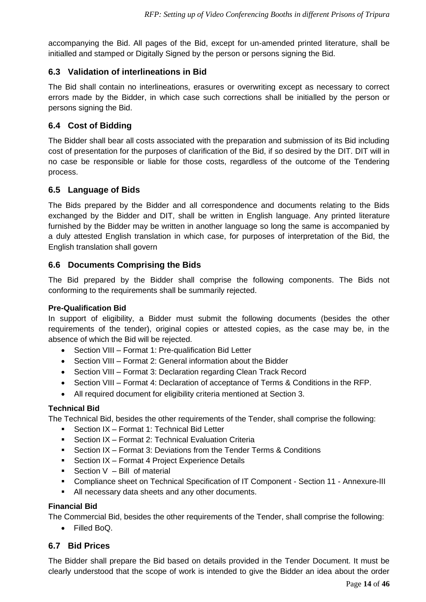accompanying the Bid. All pages of the Bid, except for un-amended printed literature, shall be initialled and stamped or Digitally Signed by the person or persons signing the Bid.

## <span id="page-13-0"></span>**6.3 Validation of interlineations in Bid**

The Bid shall contain no interlineations, erasures or overwriting except as necessary to correct errors made by the Bidder, in which case such corrections shall be initialled by the person or persons signing the Bid.

## <span id="page-13-1"></span>**6.4 Cost of Bidding**

The Bidder shall bear all costs associated with the preparation and submission of its Bid including cost of presentation for the purposes of clarification of the Bid, if so desired by the DIT. DIT will in no case be responsible or liable for those costs, regardless of the outcome of the Tendering process.

### <span id="page-13-2"></span>**6.5 Language of Bids**

The Bids prepared by the Bidder and all correspondence and documents relating to the Bids exchanged by the Bidder and DIT, shall be written in English language. Any printed literature furnished by the Bidder may be written in another language so long the same is accompanied by a duly attested English translation in which case, for purposes of interpretation of the Bid, the English translation shall govern

### <span id="page-13-3"></span>**6.6 Documents Comprising the Bids**

The Bid prepared by the Bidder shall comprise the following components. The Bids not conforming to the requirements shall be summarily rejected.

#### **Pre-Qualification Bid**

In support of eligibility, a Bidder must submit the following documents (besides the other requirements of the tender), original copies or attested copies, as the case may be, in the absence of which the Bid will be rejected.

- Section VIII Format 1: Pre-qualification Bid Letter
- Section VIII Format 2: General information about the Bidder
- Section VIII Format 3: Declaration regarding Clean Track Record
- Section VIII Format 4: Declaration of acceptance of Terms & Conditions in the RFP.
- All required document for eligibility criteria mentioned at Section 3.

#### **Technical Bid**

The Technical Bid, besides the other requirements of the Tender, shall comprise the following:

- Section IX Format 1: Technical Bid Letter
- Section IX Format 2: Technical Evaluation Criteria
- **Section IX Format 3: Deviations from the Tender Terms & Conditions**
- Section IX Format 4 Project Experience Details
- **•** Section  $V Bill$  of material
- Compliance sheet on Technical Specification of IT Component Section 11 Annexure-III
- All necessary data sheets and any other documents.

#### **Financial Bid**

The Commercial Bid, besides the other requirements of the Tender, shall comprise the following:

• Filled BoQ.

#### <span id="page-13-4"></span>**6.7 Bid Prices**

The Bidder shall prepare the Bid based on details provided in the Tender Document. It must be clearly understood that the scope of work is intended to give the Bidder an idea about the order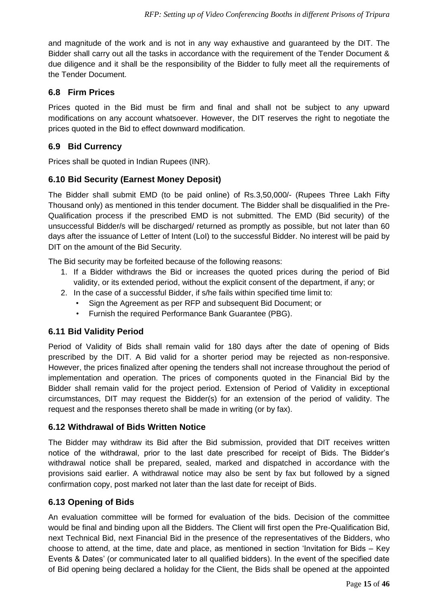and magnitude of the work and is not in any way exhaustive and guaranteed by the DIT. The Bidder shall carry out all the tasks in accordance with the requirement of the Tender Document & due diligence and it shall be the responsibility of the Bidder to fully meet all the requirements of the Tender Document.

## <span id="page-14-0"></span>**6.8 Firm Prices**

Prices quoted in the Bid must be firm and final and shall not be subject to any upward modifications on any account whatsoever. However, the DIT reserves the right to negotiate the prices quoted in the Bid to effect downward modification.

## <span id="page-14-1"></span>**6.9 Bid Currency**

Prices shall be quoted in Indian Rupees (INR).

### <span id="page-14-2"></span>**6.10 Bid Security (Earnest Money Deposit)**

The Bidder shall submit EMD (to be paid online) of Rs.3,50,000/- (Rupees Three Lakh Fifty Thousand only) as mentioned in this tender document. The Bidder shall be disqualified in the Pre-Qualification process if the prescribed EMD is not submitted. The EMD (Bid security) of the unsuccessful Bidder/s will be discharged/ returned as promptly as possible, but not later than 60 days after the issuance of Letter of Intent (LoI) to the successful Bidder. No interest will be paid by DIT on the amount of the Bid Security.

The Bid security may be forfeited because of the following reasons:

- 1. If a Bidder withdraws the Bid or increases the quoted prices during the period of Bid validity, or its extended period, without the explicit consent of the department, if any; or
- 2. In the case of a successful Bidder, if s/he fails within specified time limit to:
	- Sign the Agreement as per RFP and subsequent Bid Document; or
	- Furnish the required Performance Bank Guarantee (PBG).

#### <span id="page-14-3"></span>**6.11 Bid Validity Period**

Period of Validity of Bids shall remain valid for 180 days after the date of opening of Bids prescribed by the DIT. A Bid valid for a shorter period may be rejected as non-responsive. However, the prices finalized after opening the tenders shall not increase throughout the period of implementation and operation. The prices of components quoted in the Financial Bid by the Bidder shall remain valid for the project period. Extension of Period of Validity in exceptional circumstances, DIT may request the Bidder(s) for an extension of the period of validity. The request and the responses thereto shall be made in writing (or by fax).

#### <span id="page-14-4"></span>**6.12 Withdrawal of Bids Written Notice**

The Bidder may withdraw its Bid after the Bid submission, provided that DIT receives written notice of the withdrawal, prior to the last date prescribed for receipt of Bids. The Bidder's withdrawal notice shall be prepared, sealed, marked and dispatched in accordance with the provisions said earlier. A withdrawal notice may also be sent by fax but followed by a signed confirmation copy, post marked not later than the last date for receipt of Bids.

#### <span id="page-14-5"></span>**6.13 Opening of Bids**

An evaluation committee will be formed for evaluation of the bids. Decision of the committee would be final and binding upon all the Bidders. The Client will first open the Pre-Qualification Bid, next Technical Bid, next Financial Bid in the presence of the representatives of the Bidders, who choose to attend, at the time, date and place, as mentioned in section 'Invitation for Bids – Key Events & Dates' (or communicated later to all qualified bidders). In the event of the specified date of Bid opening being declared a holiday for the Client, the Bids shall be opened at the appointed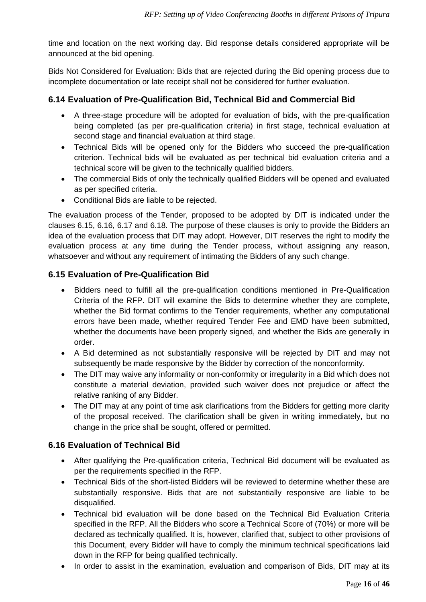time and location on the next working day. Bid response details considered appropriate will be announced at the bid opening.

Bids Not Considered for Evaluation: Bids that are rejected during the Bid opening process due to incomplete documentation or late receipt shall not be considered for further evaluation.

## <span id="page-15-0"></span>**6.14 Evaluation of Pre-Qualification Bid, Technical Bid and Commercial Bid**

- A three-stage procedure will be adopted for evaluation of bids, with the pre-qualification being completed (as per pre-qualification criteria) in first stage, technical evaluation at second stage and financial evaluation at third stage.
- Technical Bids will be opened only for the Bidders who succeed the pre-qualification criterion. Technical bids will be evaluated as per technical bid evaluation criteria and a technical score will be given to the technically qualified bidders.
- The commercial Bids of only the technically qualified Bidders will be opened and evaluated as per specified criteria.
- Conditional Bids are liable to be rejected.

The evaluation process of the Tender, proposed to be adopted by DIT is indicated under the clauses 6.15, 6.16, 6.17 and 6.18. The purpose of these clauses is only to provide the Bidders an idea of the evaluation process that DIT may adopt. However, DIT reserves the right to modify the evaluation process at any time during the Tender process, without assigning any reason, whatsoever and without any requirement of intimating the Bidders of any such change.

#### <span id="page-15-1"></span>**6.15 Evaluation of Pre-Qualification Bid**

- Bidders need to fulfill all the pre-qualification conditions mentioned in Pre-Qualification Criteria of the RFP. DIT will examine the Bids to determine whether they are complete, whether the Bid format confirms to the Tender requirements, whether any computational errors have been made, whether required Tender Fee and EMD have been submitted, whether the documents have been properly signed, and whether the Bids are generally in order.
- A Bid determined as not substantially responsive will be rejected by DIT and may not subsequently be made responsive by the Bidder by correction of the nonconformity.
- The DIT may waive any informality or non-conformity or irregularity in a Bid which does not constitute a material deviation, provided such waiver does not prejudice or affect the relative ranking of any Bidder.
- The DIT may at any point of time ask clarifications from the Bidders for getting more clarity of the proposal received. The clarification shall be given in writing immediately, but no change in the price shall be sought, offered or permitted.

## <span id="page-15-2"></span>**6.16 Evaluation of Technical Bid**

- After qualifying the Pre-qualification criteria, Technical Bid document will be evaluated as per the requirements specified in the RFP.
- Technical Bids of the short-listed Bidders will be reviewed to determine whether these are substantially responsive. Bids that are not substantially responsive are liable to be disqualified.
- Technical bid evaluation will be done based on the Technical Bid Evaluation Criteria specified in the RFP. All the Bidders who score a Technical Score of (70%) or more will be declared as technically qualified. It is, however, clarified that, subject to other provisions of this Document, every Bidder will have to comply the minimum technical specifications laid down in the RFP for being qualified technically.
- In order to assist in the examination, evaluation and comparison of Bids, DIT may at its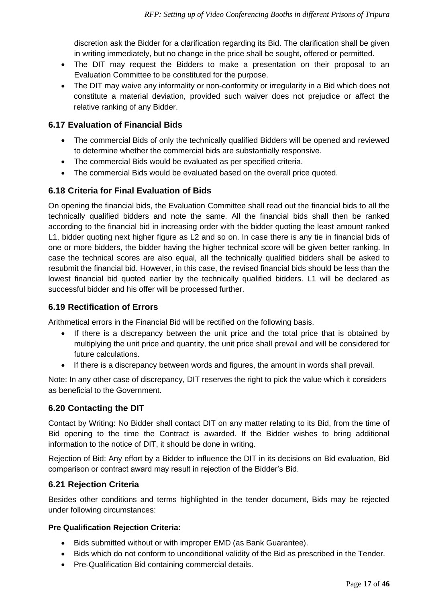discretion ask the Bidder for a clarification regarding its Bid. The clarification shall be given in writing immediately, but no change in the price shall be sought, offered or permitted.

- The DIT may request the Bidders to make a presentation on their proposal to an Evaluation Committee to be constituted for the purpose.
- The DIT may waive any informality or non-conformity or irregularity in a Bid which does not constitute a material deviation, provided such waiver does not prejudice or affect the relative ranking of any Bidder.

### <span id="page-16-0"></span>**6.17 Evaluation of Financial Bids**

- The commercial Bids of only the technically qualified Bidders will be opened and reviewed to determine whether the commercial bids are substantially responsive.
- The commercial Bids would be evaluated as per specified criteria.
- The commercial Bids would be evaluated based on the overall price quoted.

## <span id="page-16-1"></span>**6.18 Criteria for Final Evaluation of Bids**

On opening the financial bids, the Evaluation Committee shall read out the financial bids to all the technically qualified bidders and note the same. All the financial bids shall then be ranked according to the financial bid in increasing order with the bidder quoting the least amount ranked L1, bidder quoting next higher figure as L2 and so on. In case there is any tie in financial bids of one or more bidders, the bidder having the higher technical score will be given better ranking. In case the technical scores are also equal, all the technically qualified bidders shall be asked to resubmit the financial bid. However, in this case, the revised financial bids should be less than the lowest financial bid quoted earlier by the technically qualified bidders. L1 will be declared as successful bidder and his offer will be processed further.

#### <span id="page-16-2"></span>**6.19 Rectification of Errors**

Arithmetical errors in the Financial Bid will be rectified on the following basis.

- If there is a discrepancy between the unit price and the total price that is obtained by multiplying the unit price and quantity, the unit price shall prevail and will be considered for future calculations.
- If there is a discrepancy between words and figures, the amount in words shall prevail.

Note: In any other case of discrepancy, DIT reserves the right to pick the value which it considers as beneficial to the Government.

#### <span id="page-16-3"></span>**6.20 Contacting the DIT**

Contact by Writing: No Bidder shall contact DIT on any matter relating to its Bid, from the time of Bid opening to the time the Contract is awarded. If the Bidder wishes to bring additional information to the notice of DIT, it should be done in writing.

Rejection of Bid: Any effort by a Bidder to influence the DIT in its decisions on Bid evaluation, Bid comparison or contract award may result in rejection of the Bidder's Bid.

#### <span id="page-16-4"></span>**6.21 Rejection Criteria**

Besides other conditions and terms highlighted in the tender document, Bids may be rejected under following circumstances:

#### **Pre Qualification Rejection Criteria:**

- Bids submitted without or with improper EMD (as Bank Guarantee).
- Bids which do not conform to unconditional validity of the Bid as prescribed in the Tender.
- Pre-Qualification Bid containing commercial details.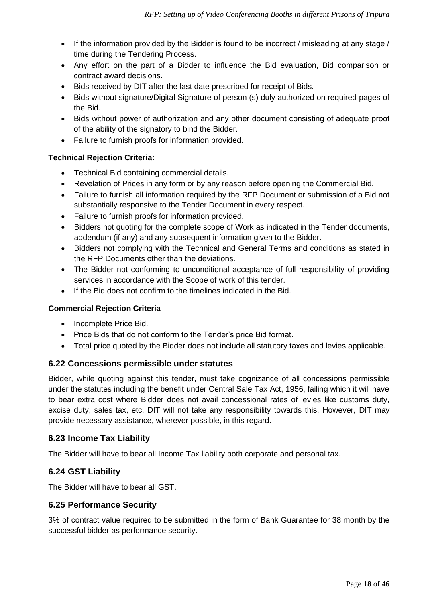- If the information provided by the Bidder is found to be incorrect / misleading at any stage / time during the Tendering Process.
- Any effort on the part of a Bidder to influence the Bid evaluation, Bid comparison or contract award decisions.
- Bids received by DIT after the last date prescribed for receipt of Bids.
- Bids without signature/Digital Signature of person (s) duly authorized on required pages of the Bid.
- Bids without power of authorization and any other document consisting of adequate proof of the ability of the signatory to bind the Bidder.
- Failure to furnish proofs for information provided.

#### **Technical Rejection Criteria:**

- Technical Bid containing commercial details.
- Revelation of Prices in any form or by any reason before opening the Commercial Bid.
- Failure to furnish all information required by the RFP Document or submission of a Bid not substantially responsive to the Tender Document in every respect.
- Failure to furnish proofs for information provided.
- Bidders not quoting for the complete scope of Work as indicated in the Tender documents, addendum (if any) and any subsequent information given to the Bidder.
- Bidders not complying with the Technical and General Terms and conditions as stated in the RFP Documents other than the deviations.
- The Bidder not conforming to unconditional acceptance of full responsibility of providing services in accordance with the Scope of work of this tender.
- If the Bid does not confirm to the timelines indicated in the Bid.

#### **Commercial Rejection Criteria**

- Incomplete Price Bid.
- Price Bids that do not conform to the Tender's price Bid format.
- Total price quoted by the Bidder does not include all statutory taxes and levies applicable.

#### <span id="page-17-0"></span>**6.22 Concessions permissible under statutes**

Bidder, while quoting against this tender, must take cognizance of all concessions permissible under the statutes including the benefit under Central Sale Tax Act, 1956, failing which it will have to bear extra cost where Bidder does not avail concessional rates of levies like customs duty, excise duty, sales tax, etc. DIT will not take any responsibility towards this. However, DIT may provide necessary assistance, wherever possible, in this regard.

#### <span id="page-17-1"></span>**6.23 Income Tax Liability**

The Bidder will have to bear all Income Tax liability both corporate and personal tax.

#### <span id="page-17-2"></span>**6.24 GST Liability**

The Bidder will have to bear all GST.

#### <span id="page-17-3"></span>**6.25 Performance Security**

3% of contract value required to be submitted in the form of Bank Guarantee for 38 month by the successful bidder as performance security.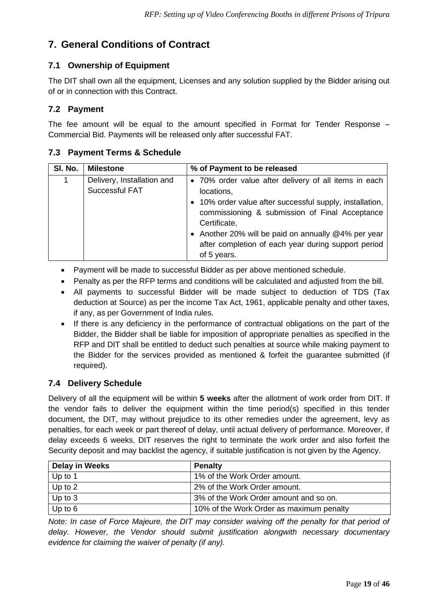# <span id="page-18-0"></span>**7. General Conditions of Contract**

# <span id="page-18-1"></span>**7.1 Ownership of Equipment**

The DIT shall own all the equipment, Licenses and any solution supplied by the Bidder arising out of or in connection with this Contract.

## <span id="page-18-2"></span>**7.2 Payment**

The fee amount will be equal to the amount specified in Format for Tender Response – Commercial Bid. Payments will be released only after successful FAT.

## <span id="page-18-3"></span>**7.3 Payment Terms & Schedule**

| SI. No. | <b>Milestone</b>                             | % of Payment to be released                                                                                                                                                                                                                                                                                                    |
|---------|----------------------------------------------|--------------------------------------------------------------------------------------------------------------------------------------------------------------------------------------------------------------------------------------------------------------------------------------------------------------------------------|
|         | Delivery, Installation and<br>Successful FAT | • 70% order value after delivery of all items in each<br>locations,<br>• 10% order value after successful supply, installation,<br>commissioning & submission of Final Acceptance<br>Certificate,<br>• Another 20% will be paid on annually @4% per year<br>after completion of each year during support period<br>of 5 years. |

- Payment will be made to successful Bidder as per above mentioned schedule.
- Penalty as per the RFP terms and conditions will be calculated and adjusted from the bill.
- All payments to successful Bidder will be made subject to deduction of TDS (Tax deduction at Source) as per the income Tax Act, 1961, applicable penalty and other taxes, if any, as per Government of India rules.
- If there is any deficiency in the performance of contractual obligations on the part of the Bidder, the Bidder shall be liable for imposition of appropriate penalties as specified in the RFP and DIT shall be entitled to deduct such penalties at source while making payment to the Bidder for the services provided as mentioned & forfeit the guarantee submitted (if required).

## <span id="page-18-4"></span>**7.4 Delivery Schedule**

Delivery of all the equipment will be within **5 weeks** after the allotment of work order from DIT. If the vendor fails to deliver the equipment within the time period(s) specified in this tender document, the DIT, may without prejudice to its other remedies under the agreement, levy as penalties, for each week or part thereof of delay, until actual delivery of performance. Moreover, if delay exceeds 6 weeks, DIT reserves the right to terminate the work order and also forfeit the Security deposit and may backlist the agency, if suitable justification is not given by the Agency.

| <b>Delay in Weeks</b> | <b>Penalty</b>                           |
|-----------------------|------------------------------------------|
| Up to $1$             | 1% of the Work Order amount.             |
| Up to 2               | 2% of the Work Order amount.             |
| Up to 3               | 3% of the Work Order amount and so on.   |
| Up to 6               | 10% of the Work Order as maximum penalty |

*Note: In case of Force Majeure, the DIT may consider waiving off the penalty for that period of delay. However, the Vendor should submit justification alongwith necessary documentary evidence for claiming the waiver of penalty (if any).*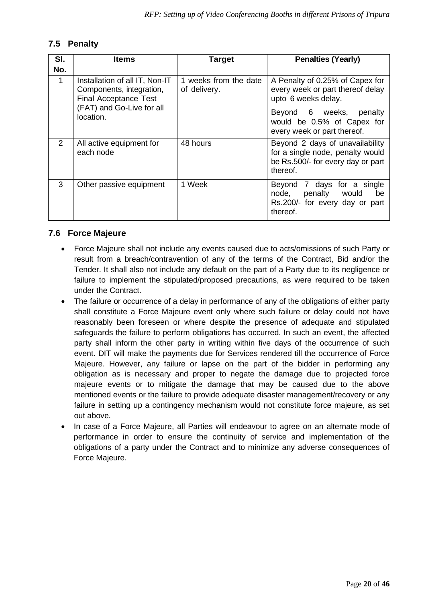## <span id="page-19-0"></span>**7.5 Penalty**

| SI.            | <b>Items</b>                                                                                                                         | <b>Target</b>                         | <b>Penalties (Yearly)</b>                                                                                                                                                             |
|----------------|--------------------------------------------------------------------------------------------------------------------------------------|---------------------------------------|---------------------------------------------------------------------------------------------------------------------------------------------------------------------------------------|
| No.            |                                                                                                                                      |                                       |                                                                                                                                                                                       |
| 1              | Installation of all IT, Non-IT<br>Components, integration,<br><b>Final Acceptance Test</b><br>(FAT) and Go-Live for all<br>location. | 1 weeks from the date<br>of delivery. | A Penalty of 0.25% of Capex for<br>every week or part thereof delay<br>upto 6 weeks delay.<br>Beyond 6 weeks,<br>penalty<br>would be 0.5% of Capex for<br>every week or part thereof. |
| $\overline{2}$ | All active equipment for<br>each node                                                                                                | 48 hours                              | Beyond 2 days of unavailability<br>for a single node, penalty would<br>be Rs.500/- for every day or part<br>thereof.                                                                  |
| 3              | Other passive equipment                                                                                                              | 1 Week                                | 7 days for a single<br>Beyond<br>node,<br>penalty would<br>be<br>Rs.200/- for every day or part<br>thereof.                                                                           |

#### <span id="page-19-1"></span>**7.6 Force Majeure**

- Force Majeure shall not include any events caused due to acts/omissions of such Party or result from a breach/contravention of any of the terms of the Contract, Bid and/or the Tender. It shall also not include any default on the part of a Party due to its negligence or failure to implement the stipulated/proposed precautions, as were required to be taken under the Contract.
- The failure or occurrence of a delay in performance of any of the obligations of either party shall constitute a Force Majeure event only where such failure or delay could not have reasonably been foreseen or where despite the presence of adequate and stipulated safeguards the failure to perform obligations has occurred. In such an event, the affected party shall inform the other party in writing within five days of the occurrence of such event. DIT will make the payments due for Services rendered till the occurrence of Force Majeure. However, any failure or lapse on the part of the bidder in performing any obligation as is necessary and proper to negate the damage due to projected force majeure events or to mitigate the damage that may be caused due to the above mentioned events or the failure to provide adequate disaster management/recovery or any failure in setting up a contingency mechanism would not constitute force majeure, as set out above.
- In case of a Force Majeure, all Parties will endeavour to agree on an alternate mode of performance in order to ensure the continuity of service and implementation of the obligations of a party under the Contract and to minimize any adverse consequences of Force Majeure.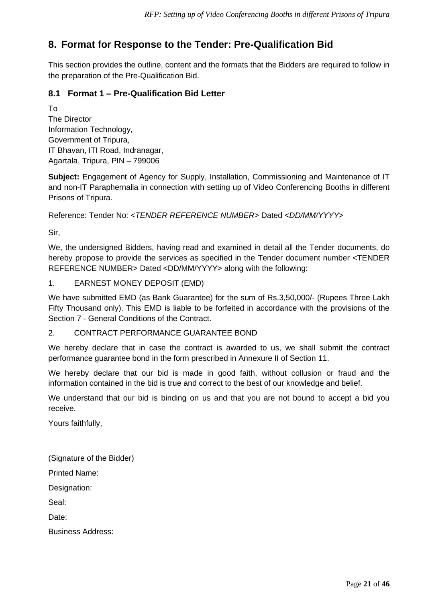# <span id="page-20-0"></span>**8. Format for Response to the Tender: Pre-Qualification Bid**

This section provides the outline, content and the formats that the Bidders are required to follow in the preparation of the Pre-Qualification Bid.

### <span id="page-20-1"></span>**8.1 Format 1 – Pre-Qualification Bid Letter**

To The Director Information Technology, Government of Tripura, IT Bhavan, ITI Road, Indranagar, Agartala, Tripura, PIN – 799006

**Subject:** Engagement of Agency for Supply, Installation, Commissioning and Maintenance of IT and non-IT Paraphernalia in connection with setting up of Video Conferencing Booths in different Prisons of Tripura.

Reference: Tender No: <*TENDER REFERENCE NUMBER*> Dated <*DD/MM/YYYY*>

Sir,

We, the undersigned Bidders, having read and examined in detail all the Tender documents, do hereby propose to provide the services as specified in the Tender document number <TENDER REFERENCE NUMBER> Dated <DD/MM/YYYY> along with the following:

1. EARNEST MONEY DEPOSIT (EMD)

We have submitted EMD (as Bank Guarantee) for the sum of Rs.3,50,000/- (Rupees Three Lakh Fifty Thousand only). This EMD is liable to be forfeited in accordance with the provisions of the Section 7 - General Conditions of the Contract.

#### 2. CONTRACT PERFORMANCE GUARANTEE BOND

We hereby declare that in case the contract is awarded to us, we shall submit the contract performance guarantee bond in the form prescribed in Annexure II of Section 11.

We hereby declare that our bid is made in good faith, without collusion or fraud and the information contained in the bid is true and correct to the best of our knowledge and belief.

We understand that our bid is binding on us and that you are not bound to accept a bid you receive.

Yours faithfully,

(Signature of the Bidder)

Printed Name:

Designation:

Seal:

Date:

Business Address: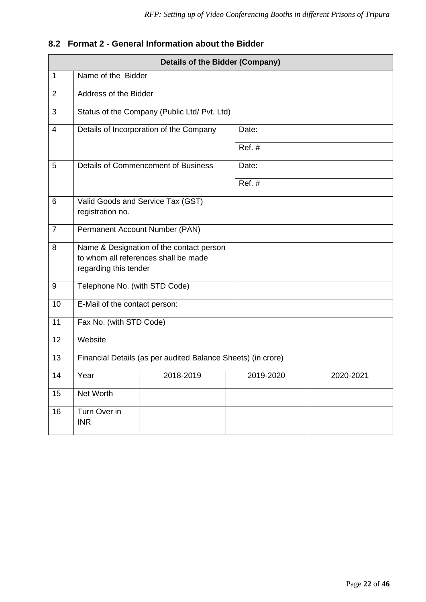|                | <b>Details of the Bidder (Company)</b>                                                                    |                                                              |           |           |  |
|----------------|-----------------------------------------------------------------------------------------------------------|--------------------------------------------------------------|-----------|-----------|--|
| $\mathbf 1$    | Name of the Bidder                                                                                        |                                                              |           |           |  |
| $\overline{2}$ | Address of the Bidder                                                                                     |                                                              |           |           |  |
| 3              |                                                                                                           | Status of the Company (Public Ltd/ Pvt. Ltd)                 |           |           |  |
| 4              |                                                                                                           | Details of Incorporation of the Company                      | Date:     |           |  |
|                |                                                                                                           |                                                              | Ref. #    |           |  |
| 5              |                                                                                                           | Details of Commencement of Business                          | Date:     |           |  |
|                |                                                                                                           |                                                              | Ref. #    |           |  |
| 6              | Valid Goods and Service Tax (GST)<br>registration no.                                                     |                                                              |           |           |  |
| $\overline{7}$ | Permanent Account Number (PAN)                                                                            |                                                              |           |           |  |
| 8              | Name & Designation of the contact person<br>to whom all references shall be made<br>regarding this tender |                                                              |           |           |  |
| 9              | Telephone No. (with STD Code)                                                                             |                                                              |           |           |  |
| 10             | E-Mail of the contact person:                                                                             |                                                              |           |           |  |
| 11             | Fax No. (with STD Code)                                                                                   |                                                              |           |           |  |
| 12             | Website                                                                                                   |                                                              |           |           |  |
| 13             |                                                                                                           | Financial Details (as per audited Balance Sheets) (in crore) |           |           |  |
| 14             | Year                                                                                                      | 2018-2019                                                    | 2019-2020 | 2020-2021 |  |
| 15             | Net Worth                                                                                                 |                                                              |           |           |  |
| 16             | Turn Over in<br><b>INR</b>                                                                                |                                                              |           |           |  |

# <span id="page-21-0"></span>**8.2 Format 2 - General Information about the Bidder**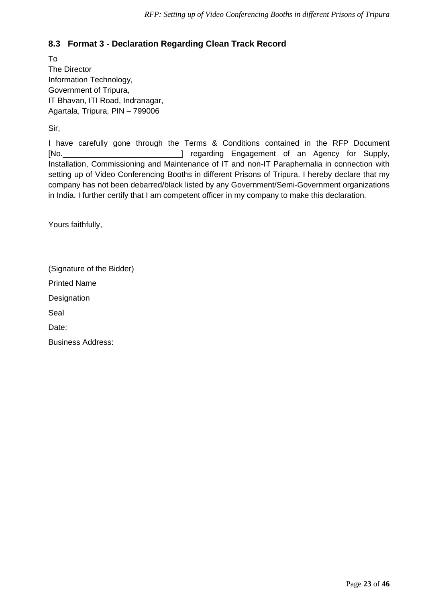# <span id="page-22-0"></span>**8.3 Format 3 - Declaration Regarding Clean Track Record**

To The Director Information Technology, Government of Tripura, IT Bhavan, ITI Road, Indranagar, Agartala, Tripura, PIN – 799006

Sir,

I have carefully gone through the Terms & Conditions contained in the RFP Document [No.\_\_\_\_\_\_\_\_\_\_\_\_\_\_\_\_\_\_\_\_\_\_\_\_\_\_\_] regarding Engagement of an Agency for Supply, Installation, Commissioning and Maintenance of IT and non-IT Paraphernalia in connection with setting up of Video Conferencing Booths in different Prisons of Tripura. I hereby declare that my company has not been debarred/black listed by any Government/Semi-Government organizations in India. I further certify that I am competent officer in my company to make this declaration.

Yours faithfully,

(Signature of the Bidder) Printed Name **Designation** Seal Date: Business Address: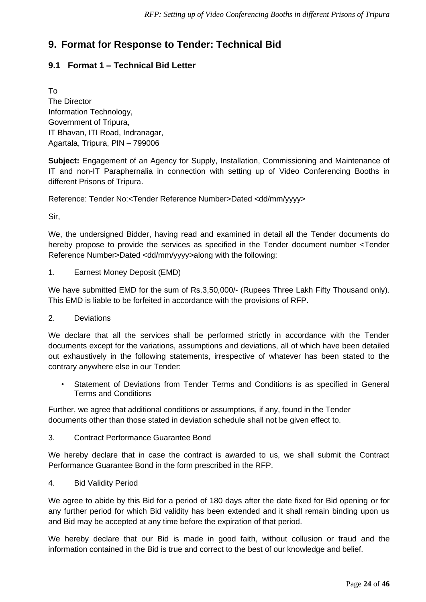# <span id="page-23-0"></span>**9. Format for Response to Tender: Technical Bid**

# <span id="page-23-1"></span>**9.1 Format 1 – Technical Bid Letter**

To The Director Information Technology, Government of Tripura, IT Bhavan, ITI Road, Indranagar, Agartala, Tripura, PIN – 799006

**Subject:** Engagement of an Agency for Supply, Installation, Commissioning and Maintenance of IT and non-IT Paraphernalia in connection with setting up of Video Conferencing Booths in different Prisons of Tripura.

Reference: Tender No:<Tender Reference Number>Dated <dd/mm/yyyy>

Sir,

We, the undersigned Bidder, having read and examined in detail all the Tender documents do hereby propose to provide the services as specified in the Tender document number <Tender Reference Number>Dated <dd/mm/yyyy>along with the following:

1. Earnest Money Deposit (EMD)

We have submitted EMD for the sum of Rs.3,50,000/- (Rupees Three Lakh Fifty Thousand only). This EMD is liable to be forfeited in accordance with the provisions of RFP.

2. Deviations

We declare that all the services shall be performed strictly in accordance with the Tender documents except for the variations, assumptions and deviations, all of which have been detailed out exhaustively in the following statements, irrespective of whatever has been stated to the contrary anywhere else in our Tender:

Statement of Deviations from Tender Terms and Conditions is as specified in General Terms and Conditions

Further, we agree that additional conditions or assumptions, if any, found in the Tender documents other than those stated in deviation schedule shall not be given effect to.

3. Contract Performance Guarantee Bond

We hereby declare that in case the contract is awarded to us, we shall submit the Contract Performance Guarantee Bond in the form prescribed in the RFP.

4. Bid Validity Period

We agree to abide by this Bid for a period of 180 days after the date fixed for Bid opening or for any further period for which Bid validity has been extended and it shall remain binding upon us and Bid may be accepted at any time before the expiration of that period.

We hereby declare that our Bid is made in good faith, without collusion or fraud and the information contained in the Bid is true and correct to the best of our knowledge and belief.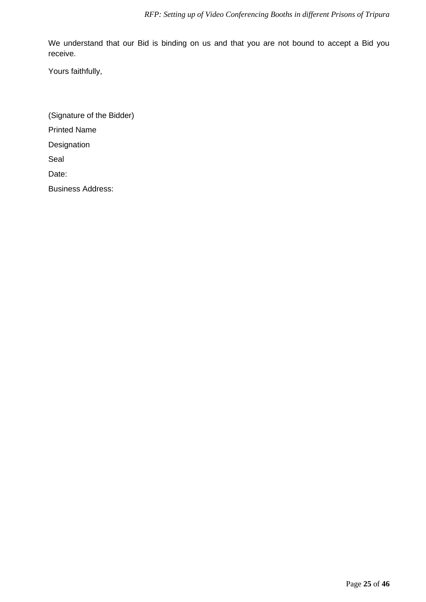We understand that our Bid is binding on us and that you are not bound to accept a Bid you receive.

Yours faithfully,

(Signature of the Bidder) Printed Name **Designation** Seal Date: Business Address: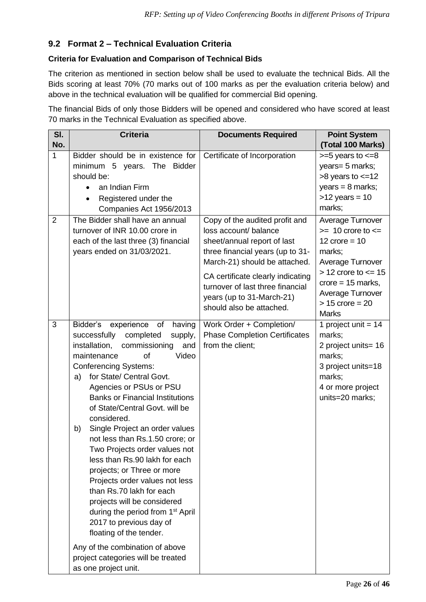# <span id="page-25-0"></span>**9.2 Format 2 – Technical Evaluation Criteria**

#### **Criteria for Evaluation and Comparison of Technical Bids**

The criterion as mentioned in section below shall be used to evaluate the technical Bids. All the Bids scoring at least 70% (70 marks out of 100 marks as per the evaluation criteria below) and above in the technical evaluation will be qualified for commercial Bid opening.

The financial Bids of only those Bidders will be opened and considered who have scored at least 70 marks in the Technical Evaluation as specified above.

| No.<br>1      | Bidder should be in existence for<br>minimum 5 years. The<br><b>Bidder</b><br>should be:<br>an Indian Firm                                                                                                                                                                                                                                                                                                                                                                                                                                                                                                                                                                                                                                                                            | Certificate of Incorporation                                                                                                                                                                                                                                                                  | (Total 100 Marks)<br>$>=5$ years to $<=8$<br>years= 5 marks;                                                                                                                                                                  |
|---------------|---------------------------------------------------------------------------------------------------------------------------------------------------------------------------------------------------------------------------------------------------------------------------------------------------------------------------------------------------------------------------------------------------------------------------------------------------------------------------------------------------------------------------------------------------------------------------------------------------------------------------------------------------------------------------------------------------------------------------------------------------------------------------------------|-----------------------------------------------------------------------------------------------------------------------------------------------------------------------------------------------------------------------------------------------------------------------------------------------|-------------------------------------------------------------------------------------------------------------------------------------------------------------------------------------------------------------------------------|
|               | Registered under the<br>Companies Act 1956/2013                                                                                                                                                                                                                                                                                                                                                                                                                                                                                                                                                                                                                                                                                                                                       |                                                                                                                                                                                                                                                                                               | $>8$ years to $\leq$ =12<br>years = $8$ marks;<br>$>12$ years = 10<br>marks;                                                                                                                                                  |
| 2             | The Bidder shall have an annual<br>turnover of INR 10.00 crore in<br>each of the last three (3) financial<br>years ended on 31/03/2021.                                                                                                                                                                                                                                                                                                                                                                                                                                                                                                                                                                                                                                               | Copy of the audited profit and<br>loss account/ balance<br>sheet/annual report of last<br>three financial years (up to 31-<br>March-21) should be attached.<br>CA certificate clearly indicating<br>turnover of last three financial<br>years (up to 31-March-21)<br>should also be attached. | Average Turnover<br>$\geq$ 10 crore to $\leq$<br>12 $\text{core} = 10$<br>marks;<br>Average Turnover<br>$> 12$ crore to $<= 15$<br>$\text{core} = 15 \text{ marks},$<br>Average Turnover<br>$> 15$ crore = 20<br><b>Marks</b> |
| 3<br>a)<br>b) | Bidder's<br>experience of<br>having<br>successfully<br>completed<br>supply,<br>installation,<br>commissioning<br>and<br>maintenance<br>of<br>Video<br><b>Conferencing Systems:</b><br>for State/ Central Govt.<br>Agencies or PSUs or PSU<br><b>Banks or Financial Institutions</b><br>of State/Central Govt. will be<br>considered.<br>Single Project an order values<br>not less than Rs.1.50 crore; or<br>Two Projects order values not<br>less than Rs.90 lakh for each<br>projects; or Three or more<br>Projects order values not less<br>than Rs.70 lakh for each<br>projects will be considered<br>during the period from 1 <sup>st</sup> April<br>2017 to previous day of<br>floating of the tender.<br>Any of the combination of above<br>project categories will be treated | Work Order + Completion/<br><b>Phase Completion Certificates</b><br>from the client;                                                                                                                                                                                                          | 1 project unit = $14$<br>marks;<br>2 project units= 16<br>marks;<br>3 project units=18<br>marks;<br>4 or more project<br>units=20 marks;                                                                                      |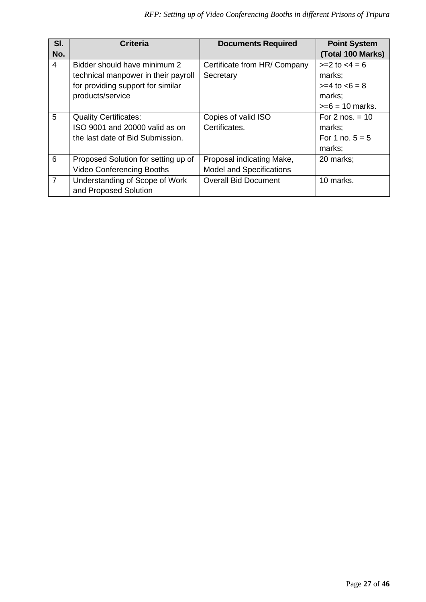| SI.            | <b>Criteria</b>                     | <b>Documents Required</b>       | <b>Point System</b> |
|----------------|-------------------------------------|---------------------------------|---------------------|
| No.            |                                     |                                 | (Total 100 Marks)   |
| $\overline{4}$ | Bidder should have minimum 2        | Certificate from HR/ Company    | $>=2$ to $<4=6$     |
|                | technical manpower in their payroll | Secretary                       | marks;              |
|                | for providing support for similar   |                                 | $>= 4$ to $< 6 = 8$ |
|                | products/service                    |                                 | marks;              |
|                |                                     |                                 | $>= 6 = 10$ marks.  |
| 5              | <b>Quality Certificates:</b>        | Copies of valid ISO             | For $2$ nos. $= 10$ |
|                | ISO 9001 and 20000 valid as on      | Certificates.                   | marks;              |
|                | the last date of Bid Submission.    |                                 | For 1 no. $5 = 5$   |
|                |                                     |                                 | marks;              |
| 6              | Proposed Solution for setting up of | Proposal indicating Make,       | 20 marks;           |
|                | <b>Video Conferencing Booths</b>    | <b>Model and Specifications</b> |                     |
| $\overline{7}$ | Understanding of Scope of Work      | <b>Overall Bid Document</b>     | 10 marks.           |
|                | and Proposed Solution               |                                 |                     |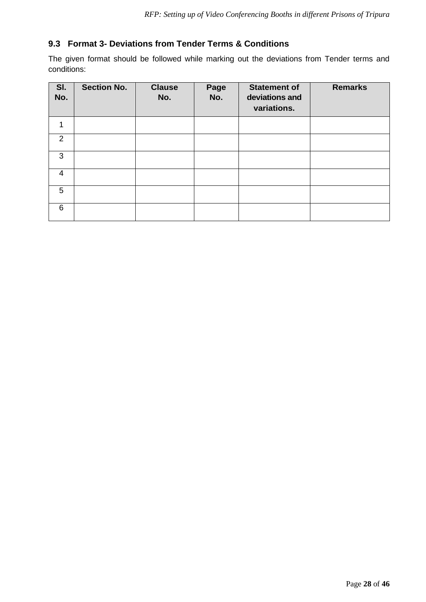# <span id="page-27-0"></span>**9.3 Format 3- Deviations from Tender Terms & Conditions**

The given format should be followed while marking out the deviations from Tender terms and conditions:

| SI.<br>No.     | <b>Section No.</b> | <b>Clause</b><br>No. | Page<br>No. | <b>Statement of</b><br>deviations and<br>variations. | <b>Remarks</b> |
|----------------|--------------------|----------------------|-------------|------------------------------------------------------|----------------|
| 1              |                    |                      |             |                                                      |                |
| 2              |                    |                      |             |                                                      |                |
| 3              |                    |                      |             |                                                      |                |
| $\overline{4}$ |                    |                      |             |                                                      |                |
| 5              |                    |                      |             |                                                      |                |
| 6              |                    |                      |             |                                                      |                |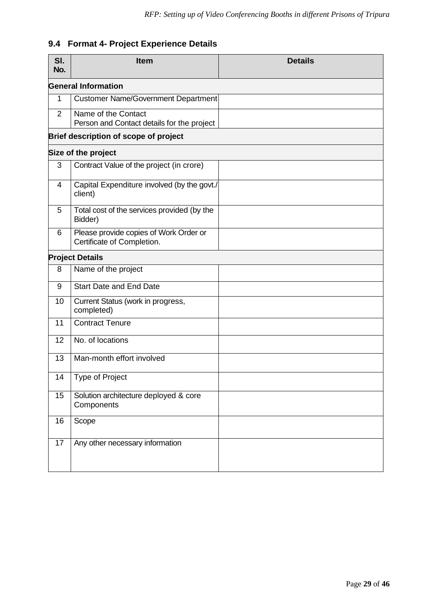# <span id="page-28-0"></span>**9.4 Format 4- Project Experience Details**

| SI.<br>No.     | <b>Item</b>                                                          | <b>Details</b> |  |  |
|----------------|----------------------------------------------------------------------|----------------|--|--|
|                | <b>General Information</b>                                           |                |  |  |
| 1              | <b>Customer Name/Government Department</b>                           |                |  |  |
| $\overline{2}$ | Name of the Contact<br>Person and Contact details for the project    |                |  |  |
|                | Brief description of scope of project                                |                |  |  |
|                | Size of the project                                                  |                |  |  |
| 3              | Contract Value of the project (in crore)                             |                |  |  |
| 4              | Capital Expenditure involved (by the govt./<br>client)               |                |  |  |
| 5              | Total cost of the services provided (by the<br>Bidder)               |                |  |  |
| 6              | Please provide copies of Work Order or<br>Certificate of Completion. |                |  |  |
|                | <b>Project Details</b>                                               |                |  |  |
| 8              | Name of the project                                                  |                |  |  |
| 9              | <b>Start Date and End Date</b>                                       |                |  |  |
| 10             | Current Status (work in progress,<br>completed)                      |                |  |  |
| 11             | <b>Contract Tenure</b>                                               |                |  |  |
| 12             | No. of locations                                                     |                |  |  |
| 13             | Man-month effort involved                                            |                |  |  |
| 14             | Type of Project                                                      |                |  |  |
| 15             | Solution architecture deployed & core<br>Components                  |                |  |  |
| 16             | Scope                                                                |                |  |  |
| 17             | Any other necessary information                                      |                |  |  |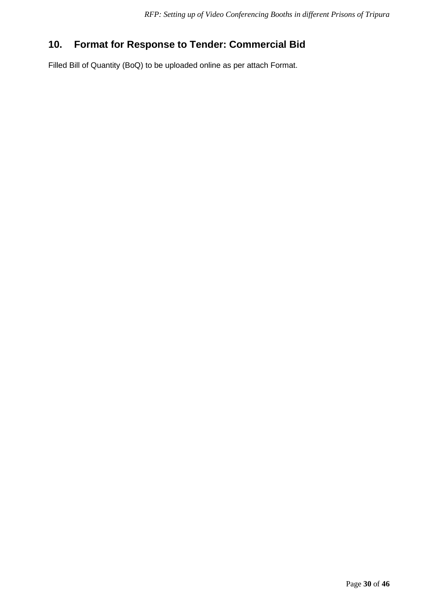# <span id="page-29-0"></span>**10. Format for Response to Tender: Commercial Bid**

Filled Bill of Quantity (BoQ) to be uploaded online as per attach Format.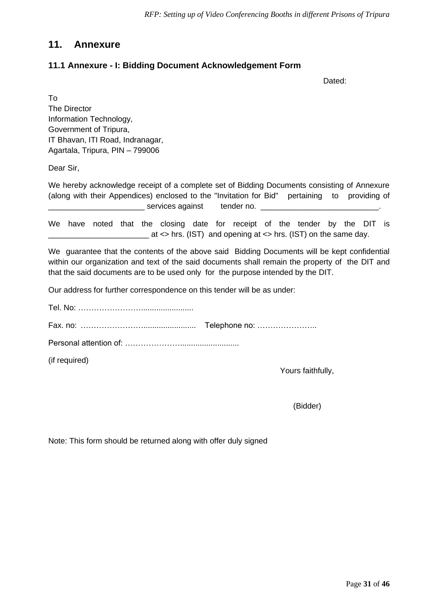# <span id="page-30-0"></span>**11. Annexure**

## <span id="page-30-1"></span>**11.1 Annexure - I: Bidding Document Acknowledgement Form**

Dated:

To The Director Information Technology, Government of Tripura, IT Bhavan, ITI Road, Indranagar, Agartala, Tripura, PIN – 799006

Dear Sir,

We hereby acknowledge receipt of a complete set of Bidding Documents consisting of Annexure (along with their Appendices) enclosed to the "Invitation for Bid" pertaining to providing of \_\_\_\_\_\_\_\_\_\_\_\_\_\_\_\_\_\_\_\_\_\_ services against tender no. \_\_\_\_\_\_\_\_\_\_\_\_\_\_\_\_\_\_\_\_\_\_\_\_\_\_\_.

We have noted that the closing date for receipt of the tender by the DIT is \_\_\_\_\_\_\_\_\_\_\_\_\_\_\_\_\_\_\_\_\_\_\_ at <> hrs. (IST) and opening at <> hrs. (IST) on the same day.

We guarantee that the contents of the above said Bidding Documents will be kept confidential within our organization and text of the said documents shall remain the property of the DIT and that the said documents are to be used only for the purpose intended by the DIT.

Our address for further correspondence on this tender will be as under:

Tel. No: ……………………........................ Fax. no: ……………………........................ Telephone no: ………………….. Personal attention of: …………………........................... (if required)

Yours faithfully,

(Bidder)

Note: This form should be returned along with offer duly signed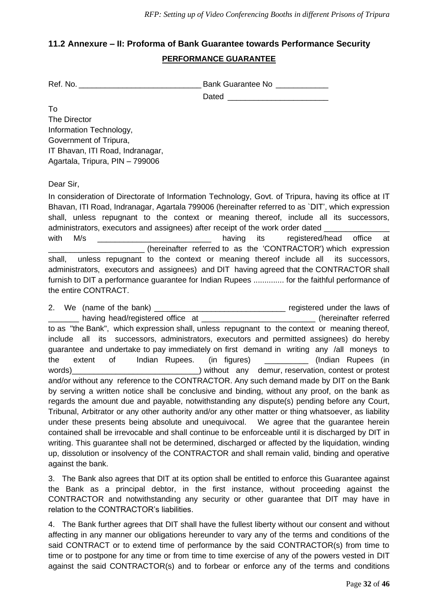# <span id="page-31-0"></span>**11.2 Annexure – II: Proforma of Bank Guarantee towards Performance Security PERFORMANCE GUARANTEE**

| Ref. No. | <b>Bank Guarantee No</b> |
|----------|--------------------------|
|          | Dated                    |

To The Director Information Technology, Government of Tripura, IT Bhavan, ITI Road, Indranagar, Agartala, Tripura, PIN – 799006

Dear Sir,

In consideration of Directorate of Information Technology, Govt. of Tripura, having its office at IT Bhavan, ITI Road, Indranagar, Agartala 799006 (hereinafter referred to as `DIT', which expression shall, unless repugnant to the context or meaning thereof, include all its successors, administrators, executors and assignees) after receipt of the work order dated \_\_\_\_ with M/s **M/s** and the matrice of the having its registered/head office at (hereinafter referred to as the 'CONTRACTOR') which expression shall, unless repugnant to the context or meaning thereof include all its successors, administrators, executors and assignees) and DIT having agreed that the CONTRACTOR shall furnish to DIT a performance guarantee for Indian Rupees ............... for the faithful performance of the entire CONTRACT.

2. We (name of the bank) \_\_\_\_\_\_\_\_\_\_\_\_\_\_\_\_\_\_\_\_\_\_\_\_\_\_\_\_\_\_ registered under the laws of \_ having head/registered office at \_\_\_\_\_\_\_\_\_\_\_\_\_\_\_\_\_\_\_\_\_\_\_\_\_\_\_(hereinafter referred to as "the Bank", which expression shall, unless repugnant to the context or meaning thereof, include all its successors, administrators, executors and permitted assignees) do hereby guarantee and undertake to pay immediately on first demand in writing any /all moneys to the extent of Indian Rupees. (in figures) and indian Rupees (in words)\_\_\_\_\_\_\_\_\_\_\_\_\_\_\_\_\_\_\_\_\_\_\_\_\_\_\_\_\_) without any demur, reservation, contest or protest and/or without any reference to the CONTRACTOR. Any such demand made by DIT on the Bank by serving a written notice shall be conclusive and binding, without any proof, on the bank as regards the amount due and payable, notwithstanding any dispute(s) pending before any Court, Tribunal, Arbitrator or any other authority and/or any other matter or thing whatsoever, as liability under these presents being absolute and unequivocal. We agree that the guarantee herein contained shall be irrevocable and shall continue to be enforceable until it is discharged by DIT in writing. This guarantee shall not be determined, discharged or affected by the liquidation, winding up, dissolution or insolvency of the CONTRACTOR and shall remain valid, binding and operative against the bank.

3. The Bank also agrees that DIT at its option shall be entitled to enforce this Guarantee against the Bank as a principal debtor, in the first instance, without proceeding against the CONTRACTOR and notwithstanding any security or other guarantee that DIT may have in relation to the CONTRACTOR's liabilities.

4. The Bank further agrees that DIT shall have the fullest liberty without our consent and without affecting in any manner our obligations hereunder to vary any of the terms and conditions of the said CONTRACT or to extend time of performance by the said CONTRACTOR(s) from time to time or to postpone for any time or from time to time exercise of any of the powers vested in DIT against the said CONTRACTOR(s) and to forbear or enforce any of the terms and conditions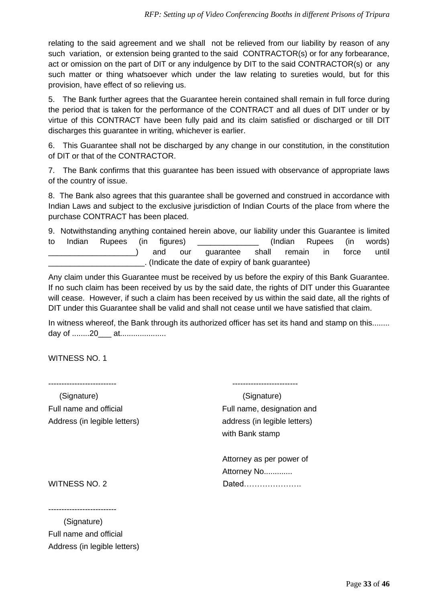relating to the said agreement and we shall not be relieved from our liability by reason of any such variation, or extension being granted to the said CONTRACTOR(s) or for any forbearance, act or omission on the part of DIT or any indulgence by DIT to the said CONTRACTOR(s) or any such matter or thing whatsoever which under the law relating to sureties would, but for this provision, have effect of so relieving us.

5. The Bank further agrees that the Guarantee herein contained shall remain in full force during the period that is taken for the performance of the CONTRACT and all dues of DIT under or by virtue of this CONTRACT have been fully paid and its claim satisfied or discharged or till DIT discharges this guarantee in writing, whichever is earlier.

6. This Guarantee shall not be discharged by any change in our constitution, in the constitution of DIT or that of the CONTRACTOR.

7. The Bank confirms that this guarantee has been issued with observance of appropriate laws of the country of issue.

8. The Bank also agrees that this guarantee shall be governed and construed in accordance with Indian Laws and subject to the exclusive jurisdiction of Indian Courts of the place from where the purchase CONTRACT has been placed.

9. Notwithstanding anything contained herein above, our liability under this Guarantee is limited to Indian Rupees (in figures) \_\_\_\_\_\_\_\_\_\_\_\_\_\_ (Indian Rupees (in words) \_\_\_\_\_\_\_\_\_\_\_\_\_\_\_\_\_\_\_\_) and our guarantee shall remain in force until \_\_\_\_\_\_\_\_\_\_\_\_\_\_\_\_\_\_\_\_\_\_. (Indicate the date of expiry of bank guarantee)

Any claim under this Guarantee must be received by us before the expiry of this Bank Guarantee. If no such claim has been received by us by the said date, the rights of DIT under this Guarantee will cease. However, if such a claim has been received by us within the said date, all the rights of DIT under this Guarantee shall be valid and shall not cease until we have satisfied that claim.

In witness whereof, the Bank through its authorized officer has set its hand and stamp on this........ day of ........20\_\_\_ at.....................

WITNESS NO. 1

-------------------------- -------------------------

Address (in legible letters) address (in legible letters)

 (Signature) (Signature) Full name and official Full name, designation and with Bank stamp

 Attorney as per power of Attorney No............. WITNESS NO. 2 Dated……………………

--------------------------

 (Signature) Full name and official Address (in legible letters)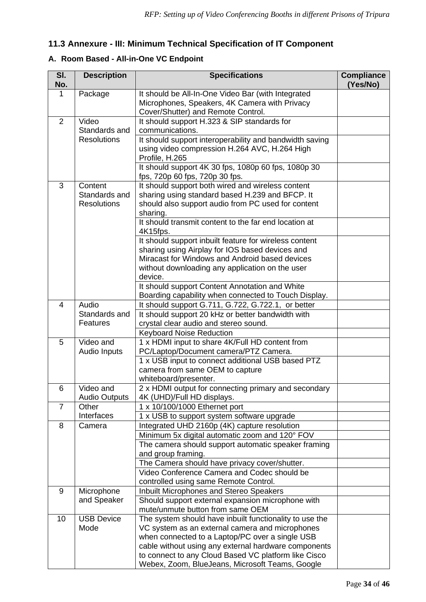# <span id="page-33-0"></span>**11.3 Annexure - III: Minimum Technical Specification of IT Component**

# **A. Room Based - All-in-One VC Endpoint**

| SI.<br>No.     | <b>Description</b>                             | <b>Specifications</b>                                                                                                                                                                                                                                                                                                            | <b>Compliance</b><br>(Yes/No) |
|----------------|------------------------------------------------|----------------------------------------------------------------------------------------------------------------------------------------------------------------------------------------------------------------------------------------------------------------------------------------------------------------------------------|-------------------------------|
| 1              | Package                                        | It should be All-In-One Video Bar (with Integrated<br>Microphones, Speakers, 4K Camera with Privacy<br>Cover/Shutter) and Remote Control.                                                                                                                                                                                        |                               |
| 2              | Video<br>Standards and                         | It should support H.323 & SIP standards for<br>communications.                                                                                                                                                                                                                                                                   |                               |
|                | <b>Resolutions</b>                             | It should support interoperability and bandwidth saving<br>using video compression H.264 AVC, H.264 High<br>Profile, H.265                                                                                                                                                                                                       |                               |
|                |                                                | It should support 4K 30 fps, 1080p 60 fps, 1080p 30<br>fps, 720p 60 fps, 720p 30 fps.                                                                                                                                                                                                                                            |                               |
| 3              | Content<br>Standards and<br><b>Resolutions</b> | It should support both wired and wireless content<br>sharing using standard based H.239 and BFCP. It<br>should also support audio from PC used for content<br>sharing.                                                                                                                                                           |                               |
|                |                                                | It should transmit content to the far end location at<br>4K15fps.                                                                                                                                                                                                                                                                |                               |
|                |                                                | It should support inbuilt feature for wireless content<br>sharing using Airplay for IOS based devices and<br>Miracast for Windows and Android based devices<br>without downloading any application on the user<br>device.                                                                                                        |                               |
|                |                                                | It should support Content Annotation and White<br>Boarding capability when connected to Touch Display.                                                                                                                                                                                                                           |                               |
| 4              | Audio<br>Standards and<br><b>Features</b>      | It should support G.711, G.722, G.722.1, or better<br>It should support 20 kHz or better bandwidth with<br>crystal clear audio and stereo sound.                                                                                                                                                                                 |                               |
| 5              | Video and                                      | <b>Keyboard Noise Reduction</b><br>1 x HDMI input to share 4K/Full HD content from                                                                                                                                                                                                                                               |                               |
|                | Audio Inputs                                   | PC/Laptop/Document camera/PTZ Camera.<br>1 x USB input to connect additional USB based PTZ                                                                                                                                                                                                                                       |                               |
|                |                                                | camera from same OEM to capture<br>whiteboard/presenter.                                                                                                                                                                                                                                                                         |                               |
| 6              | Video and<br><b>Audio Outputs</b>              | 2 x HDMI output for connecting primary and secondary<br>4K (UHD)/Full HD displays.                                                                                                                                                                                                                                               |                               |
| $\overline{7}$ | Other<br>Interfaces                            | 1 x 10/100/1000 Ethernet port<br>1 x USB to support system software upgrade                                                                                                                                                                                                                                                      |                               |
| 8              | Camera                                         | Integrated UHD 2160p (4K) capture resolution                                                                                                                                                                                                                                                                                     |                               |
|                |                                                | Minimum 5x digital automatic zoom and 120° FOV<br>The camera should support automatic speaker framing<br>and group framing.                                                                                                                                                                                                      |                               |
|                |                                                | The Camera should have privacy cover/shutter.                                                                                                                                                                                                                                                                                    |                               |
|                |                                                | Video Conference Camera and Codec should be<br>controlled using same Remote Control.                                                                                                                                                                                                                                             |                               |
| 9              | Microphone                                     | Inbuilt Microphones and Stereo Speakers                                                                                                                                                                                                                                                                                          |                               |
|                | and Speaker                                    | Should support external expansion microphone with<br>mute/unmute button from same OEM                                                                                                                                                                                                                                            |                               |
| 10             | <b>USB Device</b><br>Mode                      | The system should have inbuilt functionality to use the<br>VC system as an external camera and microphones<br>when connected to a Laptop/PC over a single USB<br>cable without using any external hardware components<br>to connect to any Cloud Based VC platform like Cisco<br>Webex, Zoom, BlueJeans, Microsoft Teams, Google |                               |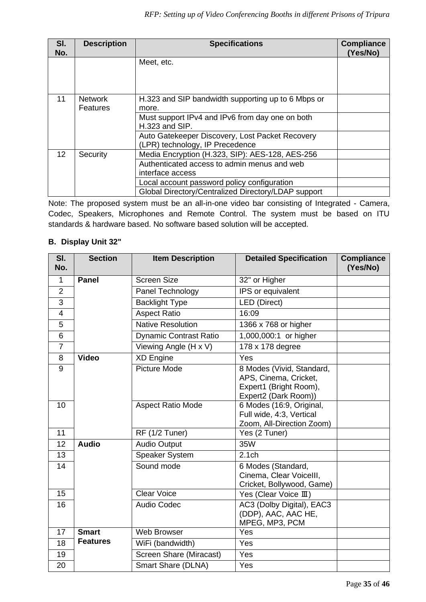| SI.<br>No.      | <b>Description</b>         | <b>Specifications</b>                                                              | <b>Compliance</b><br>(Yes/No) |
|-----------------|----------------------------|------------------------------------------------------------------------------------|-------------------------------|
|                 |                            | Meet, etc.                                                                         |                               |
| 11              | <b>Network</b><br>Features | H.323 and SIP bandwidth supporting up to 6 Mbps or<br>more.                        |                               |
|                 |                            | Must support IPv4 and IPv6 from day one on both<br>H.323 and SIP.                  |                               |
|                 |                            | Auto Gatekeeper Discovery, Lost Packet Recovery<br>(LPR) technology, IP Precedence |                               |
| 12 <sup>2</sup> | Security                   | Media Encryption (H.323, SIP): AES-128, AES-256                                    |                               |
|                 |                            | Authenticated access to admin menus and web                                        |                               |
|                 |                            | interface access                                                                   |                               |
|                 |                            | Local account password policy configuration                                        |                               |
|                 |                            | Global Directory/Centralized Directory/LDAP support                                |                               |

Note: The proposed system must be an all-in-one video bar consisting of Integrated - Camera, Codec, Speakers, Microphones and Remote Control. The system must be based on ITU standards & hardware based. No software based solution will be accepted.

### **B. Display Unit 32"**

| SI.<br>No.     | <b>Section</b>  | <b>Item Description</b>       | <b>Detailed Specification</b>                                                                        | <b>Compliance</b><br>(Yes/No) |
|----------------|-----------------|-------------------------------|------------------------------------------------------------------------------------------------------|-------------------------------|
| $\mathbf{1}$   | <b>Panel</b>    | <b>Screen Size</b>            | 32" or Higher                                                                                        |                               |
| $\overline{2}$ |                 | Panel Technology              | IPS or equivalent                                                                                    |                               |
| 3              |                 | <b>Backlight Type</b>         | LED (Direct)                                                                                         |                               |
| 4              |                 | <b>Aspect Ratio</b>           | 16:09                                                                                                |                               |
| 5              |                 | <b>Native Resolution</b>      | 1366 x 768 or higher                                                                                 |                               |
| 6              |                 | <b>Dynamic Contrast Ratio</b> | 1,000,000:1 or higher                                                                                |                               |
| $\overline{7}$ |                 | Viewing Angle (H x V)         | 178 x 178 degree                                                                                     |                               |
| 8              | <b>Video</b>    | <b>XD Engine</b>              | Yes                                                                                                  |                               |
| 9              |                 | <b>Picture Mode</b>           | 8 Modes (Vivid, Standard,<br>APS, Cinema, Cricket,<br>Expert1 (Bright Room),<br>Expert2 (Dark Room)) |                               |
| 10             |                 | <b>Aspect Ratio Mode</b>      | 6 Modes (16:9, Original,<br>Full wide, 4:3, Vertical<br>Zoom, All-Direction Zoom)                    |                               |
| 11             |                 | RF (1/2 Tuner)                | Yes (2 Tuner)                                                                                        |                               |
| 12             | <b>Audio</b>    | <b>Audio Output</b>           | 35W                                                                                                  |                               |
| 13             |                 | <b>Speaker System</b>         | 2.1 <sub>ch</sub>                                                                                    |                               |
| 14             |                 | Sound mode                    | 6 Modes (Standard,<br>Cinema, Clear Voicelll,<br>Cricket, Bollywood, Game)                           |                               |
| 15             |                 | <b>Clear Voice</b>            | Yes (Clear Voice III)                                                                                |                               |
| 16             |                 | <b>Audio Codec</b>            | AC3 (Dolby Digital), EAC3<br>(DDP), AAC, AAC HE,<br>MPEG, MP3, PCM                                   |                               |
| 17             | <b>Smart</b>    | <b>Web Browser</b>            | Yes                                                                                                  |                               |
| 18             | <b>Features</b> | WiFi (bandwidth)              | Yes                                                                                                  |                               |
| 19             |                 | Screen Share (Miracast)       | Yes                                                                                                  |                               |
| 20             |                 | Smart Share (DLNA)            | Yes                                                                                                  |                               |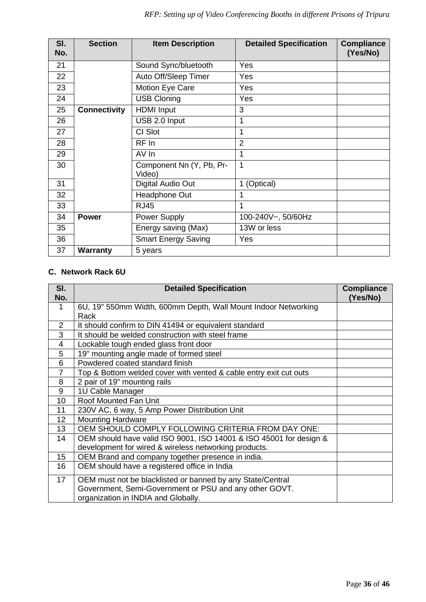| SI.<br>No. | <b>Section</b>      | <b>Item Description</b>            | <b>Detailed Specification</b> | <b>Compliance</b><br>(Yes/No) |
|------------|---------------------|------------------------------------|-------------------------------|-------------------------------|
| 21         |                     | Sound Sync/bluetooth               | Yes                           |                               |
| 22         |                     | Auto Off/Sleep Timer               | Yes                           |                               |
| 23         |                     | Motion Eye Care                    | Yes                           |                               |
| 24         |                     | <b>USB Cloning</b>                 | Yes                           |                               |
| 25         | <b>Connectivity</b> | <b>HDMI</b> Input                  | 3                             |                               |
| 26         |                     | USB 2.0 Input                      | 1                             |                               |
| 27         |                     | CI Slot                            | 1                             |                               |
| 28         |                     | $RF$ In                            | $\overline{2}$                |                               |
| 29         |                     | AV In                              | 1                             |                               |
| 30         |                     | Component Nn (Y, Pb, Pr-<br>Video) | 1                             |                               |
| 31         |                     | Digital Audio Out                  | 1 (Optical)                   |                               |
| 32         |                     | Headphone Out                      | 1                             |                               |
| 33         |                     | <b>RJ45</b>                        | 1                             |                               |
| 34         | <b>Power</b>        | Power Supply                       | 100-240V~, 50/60Hz            |                               |
| 35         |                     | Energy saving (Max)                | 13W or less                   |                               |
| 36         |                     | <b>Smart Energy Saving</b>         | Yes                           |                               |
| 37         | <b>Warranty</b>     | 5 years                            |                               |                               |

# **C. Network Rack 6U**

| SI.<br>No.     | <b>Detailed Specification</b>                                      | <b>Compliance</b><br>(Yes/No) |
|----------------|--------------------------------------------------------------------|-------------------------------|
| $\mathbf 1$    | 6U, 19" 550mm Width, 600mm Depth, Wall Mount Indoor Networking     |                               |
|                | Rack                                                               |                               |
| 2              | It should confirm to DIN 41494 or equivalent standard              |                               |
| 3              | It should be welded construction with steel frame                  |                               |
| $\overline{4}$ | Lockable tough ended glass front door                              |                               |
| 5              | 19" mounting angle made of formed steel                            |                               |
| 6              | Powdered coated standard finish                                    |                               |
| $\overline{7}$ | Top & Bottom welded cover with vented & cable entry exit cut outs  |                               |
| 8              | 2 pair of 19" mounting rails                                       |                               |
| 9              | 1U Cable Manager                                                   |                               |
| 10             | Roof Mounted Fan Unit                                              |                               |
| 11             | 230V AC, 6 way, 5 Amp Power Distribution Unit                      |                               |
| 12             | <b>Mounting Hardware</b>                                           |                               |
| 13             | OEM SHOULD COMPLY FOLLOWING CRITERIA FROM DAY ONE:                 |                               |
| 14             | OEM should have valid ISO 9001, ISO 14001 & ISO 45001 for design & |                               |
|                | development for wired & wireless networking products.              |                               |
| 15             | OEM Brand and company together presence in india.                  |                               |
| 16             | OEM should have a registered office in India                       |                               |
| 17             | OEM must not be blacklisted or banned by any State/Central         |                               |
|                | Government, Semi-Government or PSU and any other GOVT.             |                               |
|                | organization in INDIA and Globally.                                |                               |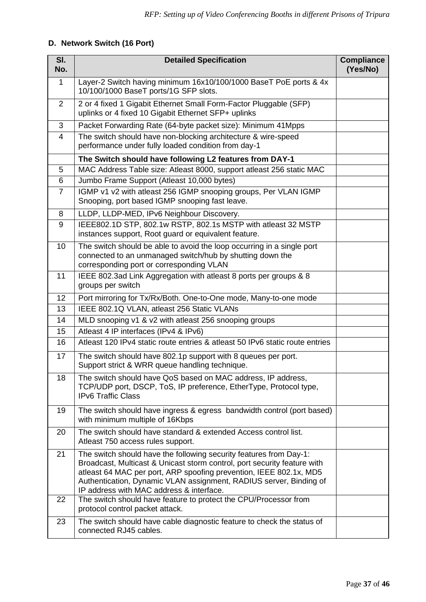# **D. Network Switch (16 Port)**

| SI.<br>No.     | <b>Detailed Specification</b>                                                                                                                                                                                                                                                                                                          | <b>Compliance</b><br>(Yes/No) |
|----------------|----------------------------------------------------------------------------------------------------------------------------------------------------------------------------------------------------------------------------------------------------------------------------------------------------------------------------------------|-------------------------------|
| 1              | Layer-2 Switch having minimum 16x10/100/1000 BaseT PoE ports & 4x<br>10/100/1000 BaseT ports/1G SFP slots.                                                                                                                                                                                                                             |                               |
| $\overline{2}$ | 2 or 4 fixed 1 Gigabit Ethernet Small Form-Factor Pluggable (SFP)<br>uplinks or 4 fixed 10 Gigabit Ethernet SFP+ uplinks                                                                                                                                                                                                               |                               |
| 3              | Packet Forwarding Rate (64-byte packet size): Minimum 41Mpps                                                                                                                                                                                                                                                                           |                               |
| 4              | The switch should have non-blocking architecture & wire-speed<br>performance under fully loaded condition from day-1                                                                                                                                                                                                                   |                               |
|                | The Switch should have following L2 features from DAY-1                                                                                                                                                                                                                                                                                |                               |
| 5              | MAC Address Table size: Atleast 8000, support atleast 256 static MAC                                                                                                                                                                                                                                                                   |                               |
| 6              | Jumbo Frame Support (Atleast 10,000 bytes)                                                                                                                                                                                                                                                                                             |                               |
| $\overline{7}$ | IGMP v1 v2 with atleast 256 IGMP snooping groups, Per VLAN IGMP<br>Snooping, port based IGMP snooping fast leave.                                                                                                                                                                                                                      |                               |
| 8              | LLDP, LLDP-MED, IPv6 Neighbour Discovery.                                                                                                                                                                                                                                                                                              |                               |
| 9              | IEEE802.1D STP, 802.1w RSTP, 802.1s MSTP with atleast 32 MSTP<br>instances support, Root guard or equivalent feature.                                                                                                                                                                                                                  |                               |
| 10             | The switch should be able to avoid the loop occurring in a single port<br>connected to an unmanaged switch/hub by shutting down the<br>corresponding port or corresponding VLAN                                                                                                                                                        |                               |
| 11             | IEEE 802.3ad Link Aggregation with atleast 8 ports per groups & 8<br>groups per switch                                                                                                                                                                                                                                                 |                               |
| 12             | Port mirroring for Tx/Rx/Both. One-to-One mode, Many-to-one mode                                                                                                                                                                                                                                                                       |                               |
| 13             | IEEE 802.1Q VLAN, atleast 256 Static VLANs                                                                                                                                                                                                                                                                                             |                               |
| 14             | MLD snooping v1 & v2 with atleast 256 snooping groups                                                                                                                                                                                                                                                                                  |                               |
| 15             | Atleast 4 IP interfaces (IPv4 & IPv6)                                                                                                                                                                                                                                                                                                  |                               |
| 16             | Atleast 120 IPv4 static route entries & atleast 50 IPv6 static route entries                                                                                                                                                                                                                                                           |                               |
| 17             | The switch should have 802.1p support with 8 queues per port.<br>Support strict & WRR queue handling technique.                                                                                                                                                                                                                        |                               |
| 18             | The switch should have QoS based on MAC address, IP address,<br>TCP/UDP port, DSCP, ToS, IP preference, EtherType, Protocol type,<br><b>IPv6 Traffic Class</b>                                                                                                                                                                         |                               |
| 19             | The switch should have ingress & egress bandwidth control (port based)<br>with minimum multiple of 16Kbps                                                                                                                                                                                                                              |                               |
| 20             | The switch should have standard & extended Access control list.<br>Atleast 750 access rules support.                                                                                                                                                                                                                                   |                               |
| 21             | The switch should have the following security features from Day-1:<br>Broadcast, Multicast & Unicast storm control, port security feature with<br>atleast 64 MAC per port, ARP spoofing prevention, IEEE 802.1x, MD5<br>Authentication, Dynamic VLAN assignment, RADIUS server, Binding of<br>IP address with MAC address & interface. |                               |
| 22             | The switch should have feature to protect the CPU/Processor from<br>protocol control packet attack.                                                                                                                                                                                                                                    |                               |
| 23             | The switch should have cable diagnostic feature to check the status of<br>connected RJ45 cables.                                                                                                                                                                                                                                       |                               |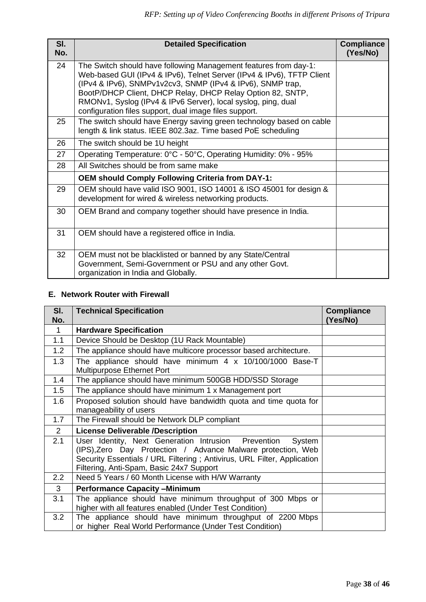| SI.<br>No. | <b>Detailed Specification</b>                                                                                                                                                                                                                                                                                                                                                                    | <b>Compliance</b><br>(Yes/No) |
|------------|--------------------------------------------------------------------------------------------------------------------------------------------------------------------------------------------------------------------------------------------------------------------------------------------------------------------------------------------------------------------------------------------------|-------------------------------|
| 24         | The Switch should have following Management features from day-1:<br>Web-based GUI (IPv4 & IPv6), Telnet Server (IPv4 & IPv6), TFTP Client<br>(IPv4 & IPv6), SNMPv1v2cv3, SNMP (IPv4 & IPv6), SNMP trap,<br>BootP/DHCP Client, DHCP Relay, DHCP Relay Option 82, SNTP,<br>RMONv1, Syslog (IPv4 & IPv6 Server), local syslog, ping, dual<br>configuration files support, dual image files support. |                               |
| 25         | The switch should have Energy saving green technology based on cable<br>length & link status. IEEE 802.3az. Time based PoE scheduling                                                                                                                                                                                                                                                            |                               |
| 26         | The switch should be 1U height                                                                                                                                                                                                                                                                                                                                                                   |                               |
| 27         | Operating Temperature: 0°C - 50°C, Operating Humidity: 0% - 95%                                                                                                                                                                                                                                                                                                                                  |                               |
| 28         | All Switches should be from same make                                                                                                                                                                                                                                                                                                                                                            |                               |
|            | <b>OEM should Comply Following Criteria from DAY-1:</b>                                                                                                                                                                                                                                                                                                                                          |                               |
| 29         | OEM should have valid ISO 9001, ISO 14001 & ISO 45001 for design &<br>development for wired & wireless networking products.                                                                                                                                                                                                                                                                      |                               |
| 30         | OEM Brand and company together should have presence in India.                                                                                                                                                                                                                                                                                                                                    |                               |
| 31         | OEM should have a registered office in India.                                                                                                                                                                                                                                                                                                                                                    |                               |
| 32         | OEM must not be blacklisted or banned by any State/Central<br>Government, Semi-Government or PSU and any other Govt.<br>organization in India and Globally.                                                                                                                                                                                                                                      |                               |

#### **E. Network Router with Firewall**

| SI.<br>No.     | <b>Technical Specification</b>                                                                                                                                                                                                                        | <b>Compliance</b><br>(Yes/No) |
|----------------|-------------------------------------------------------------------------------------------------------------------------------------------------------------------------------------------------------------------------------------------------------|-------------------------------|
| $\mathbf{1}$   | <b>Hardware Specification</b>                                                                                                                                                                                                                         |                               |
| 1.1            | Device Should be Desktop (1U Rack Mountable)                                                                                                                                                                                                          |                               |
| 1.2            | The appliance should have multicore processor based architecture.                                                                                                                                                                                     |                               |
| 1.3            | The appliance should have minimum 4 x 10/100/1000 Base-T<br>Multipurpose Ethernet Port                                                                                                                                                                |                               |
| 1.4            | The appliance should have minimum 500GB HDD/SSD Storage                                                                                                                                                                                               |                               |
| 1.5            | The appliance should have minimum 1 x Management port                                                                                                                                                                                                 |                               |
| 1.6            | Proposed solution should have bandwidth quota and time quota for<br>manageability of users                                                                                                                                                            |                               |
| 1.7            | The Firewall should be Network DLP compliant                                                                                                                                                                                                          |                               |
| $\overline{2}$ | <b>License Deliverable /Description</b>                                                                                                                                                                                                               |                               |
| 2.1            | User Identity, Next Generation Intrusion Prevention<br>System<br>(IPS), Zero Day Protection / Advance Malware protection, Web<br>Security Essentials / URL Filtering ; Antivirus, URL Filter, Application<br>Filtering, Anti-Spam, Basic 24x7 Support |                               |
| 2.2            | Need 5 Years / 60 Month License with H/W Warranty                                                                                                                                                                                                     |                               |
| 3              | <b>Performance Capacity -Minimum</b>                                                                                                                                                                                                                  |                               |
| 3.1            | The appliance should have minimum throughput of 300 Mbps or<br>higher with all features enabled (Under Test Condition)                                                                                                                                |                               |
| 3.2            | The appliance should have minimum throughput of 2200 Mbps<br>or higher Real World Performance (Under Test Condition)                                                                                                                                  |                               |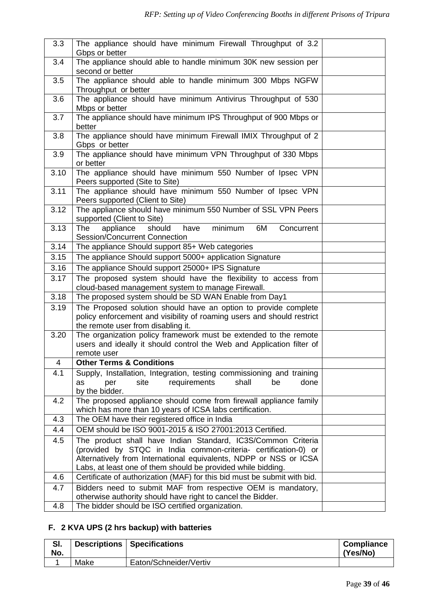| 3.3  | The appliance should have minimum Firewall Throughput of 3.2<br>Gbps or better                                                                                                                                                                                       |  |
|------|----------------------------------------------------------------------------------------------------------------------------------------------------------------------------------------------------------------------------------------------------------------------|--|
| 3.4  | The appliance should able to handle minimum 30K new session per<br>second or better                                                                                                                                                                                  |  |
| 3.5  | The appliance should able to handle minimum 300 Mbps NGFW<br>Throughput or better                                                                                                                                                                                    |  |
| 3.6  | The appliance should have minimum Antivirus Throughput of 530<br>Mbps or better                                                                                                                                                                                      |  |
| 3.7  | The appliance should have minimum IPS Throughput of 900 Mbps or<br>better                                                                                                                                                                                            |  |
| 3.8  | The appliance should have minimum Firewall IMIX Throughput of 2<br>Gbps or better                                                                                                                                                                                    |  |
| 3.9  | The appliance should have minimum VPN Throughput of 330 Mbps<br>or better                                                                                                                                                                                            |  |
| 3.10 | The appliance should have minimum 550 Number of Ipsec VPN<br>Peers supported (Site to Site)                                                                                                                                                                          |  |
| 3.11 | The appliance should have minimum 550 Number of Ipsec VPN<br>Peers supported (Client to Site)                                                                                                                                                                        |  |
| 3.12 | The appliance should have minimum 550 Number of SSL VPN Peers<br>supported (Client to Site)                                                                                                                                                                          |  |
| 3.13 | should<br>minimum<br><b>The</b><br>appliance<br>have<br>6M<br>Concurrent<br><b>Session/Concurrent Connection</b>                                                                                                                                                     |  |
| 3.14 | The appliance Should support 85+ Web categories                                                                                                                                                                                                                      |  |
| 3.15 | The appliance Should support 5000+ application Signature                                                                                                                                                                                                             |  |
| 3.16 | The appliance Should support 25000+ IPS Signature                                                                                                                                                                                                                    |  |
| 3.17 | The proposed system should have the flexibility to access from<br>cloud-based management system to manage Firewall.                                                                                                                                                  |  |
| 3.18 | The proposed system should be SD WAN Enable from Day1                                                                                                                                                                                                                |  |
| 3.19 | The Proposed solution should have an option to provide complete<br>policy enforcement and visibility of roaming users and should restrict<br>the remote user from disabling it.                                                                                      |  |
| 3.20 | The organization policy framework must be extended to the remote<br>users and ideally it should control the Web and Application filter of<br>remote user                                                                                                             |  |
| 4    | <b>Other Terms &amp; Conditions</b>                                                                                                                                                                                                                                  |  |
| 4.1  | Supply, Installation, Integration, testing commissioning and training                                                                                                                                                                                                |  |
|      | requirements<br>shall<br>site<br>be<br>done<br>as<br>per<br>by the bidder.                                                                                                                                                                                           |  |
| 4.2  | The proposed appliance should come from firewall appliance family<br>which has more than 10 years of ICSA labs certification.                                                                                                                                        |  |
| 4.3  | The OEM have their registered office in India                                                                                                                                                                                                                        |  |
| 4.4  | OEM should be ISO 9001-2015 & ISO 27001:2013 Certified.                                                                                                                                                                                                              |  |
| 4.5  | The product shall have Indian Standard, IC3S/Common Criteria<br>(provided by STQC in India common-criteria- certification-0) or<br>Alternatively from International equivalents, NDPP or NSS or ICSA<br>Labs, at least one of them should be provided while bidding. |  |
| 4.6  | Certificate of authorization (MAF) for this bid must be submit with bid.                                                                                                                                                                                             |  |
| 4.7  | Bidders need to submit MAF from respective OEM is mandatory,<br>otherwise authority should have right to cancel the Bidder.                                                                                                                                          |  |
| 4.8  | The bidder should be ISO certified organization.                                                                                                                                                                                                                     |  |

# **F. 2 KVA UPS (2 hrs backup) with batteries**

| SI.<br>No. |      | <b>Descriptions   Specifications</b> | <b>Compliance</b><br>(Yes/No) |
|------------|------|--------------------------------------|-------------------------------|
|            | Make | Eaton/Schneider/Vertiv               |                               |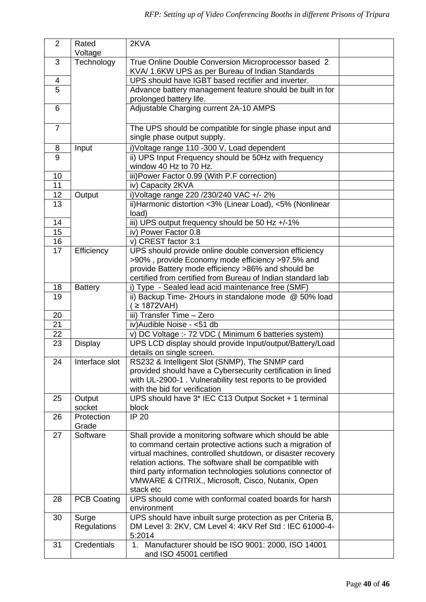| $\overline{2}$  | Rated               | 2KVA                                                                                                   |  |
|-----------------|---------------------|--------------------------------------------------------------------------------------------------------|--|
|                 | Voltage             |                                                                                                        |  |
| 3               | Technology          | True Online Double Conversion Microprocessor based 2                                                   |  |
|                 |                     | KVA/ 1.6KW UPS as per Bureau of Indian Standards<br>UPS should have IGBT based rectifier and inverter. |  |
| 4<br>5          |                     |                                                                                                        |  |
|                 |                     | Advance battery management feature should be built in for<br>prolonged battery life.                   |  |
| 6               |                     | Adjustable Charging current 2A-10 AMPS                                                                 |  |
| $\overline{7}$  |                     | The UPS should be compatible for single phase input and<br>single phase output supply.                 |  |
| 8               | Input               | i) Voltage range 110 -300 V, Load dependent                                                            |  |
| 9               |                     | ii) UPS Input Frequency should be 50Hz with frequency<br>window 40 Hz to 70 Hz.                        |  |
| 10              |                     | iii) Power Factor 0.99 (With P.F correction)                                                           |  |
| 11              |                     | iv) Capacity 2KVA                                                                                      |  |
| 12              | Output              | i) Voltage range 220 / 230/240 VAC +/- 2%                                                              |  |
| 13              |                     | ii) Harmonic distortion <3% (Linear Load), <5% (Nonlinear<br>load)                                     |  |
| 14              |                     | iii) UPS output frequency should be 50 Hz +/-1%                                                        |  |
| 15              |                     | iv) Power Factor 0.8                                                                                   |  |
| 16              |                     | v) CREST factor 3:1                                                                                    |  |
| $\overline{17}$ | Efficiency          | UPS should provide online double conversion efficiency                                                 |  |
|                 |                     | >90%, provide Economy mode efficiency >97.5% and                                                       |  |
|                 |                     | provide Battery mode efficiency >86% and should be                                                     |  |
|                 |                     | certified from certified from Bureau of Indian standard lab                                            |  |
| 18              | <b>Battery</b>      | i) Type - Sealed lead acid maintenance free (SMF)                                                      |  |
| 19              |                     | ii) Backup Time- 2Hours in standalone mode @ 50% load<br>$\geq$ 1872VAH)                               |  |
| 20              |                     | iii) Transfer Time - Zero                                                                              |  |
| 21              |                     | iv) Audible Noise - < 51 db                                                                            |  |
| 22              |                     | v) DC Voltage :- 72 VDC (Minimum 6 batteries system)                                                   |  |
| 23              | <b>Display</b>      | UPS LCD display should provide Input/output/Battery/Load                                               |  |
|                 |                     | details on single screen.                                                                              |  |
| 24              | Tinterface slot     | RS232 & Intelligent Slot (SNMP), The SNMP card                                                         |  |
|                 |                     | provided should have a Cybersecurity certification in lined                                            |  |
|                 |                     | with UL-2900-1. Vulnerability test reports to be provided                                              |  |
|                 |                     | with the bid for verification                                                                          |  |
| 25              | Output<br>socket    | UPS should have 3* IEC C13 Output Socket + 1 terminal<br>block                                         |  |
| 26              | Protection<br>Grade | <b>IP 20</b>                                                                                           |  |
| 27              | Software            | Shall provide a monitoring software which should be able                                               |  |
|                 |                     | to command certain protective actions such a migration of                                              |  |
|                 |                     | virtual machines, controlled shutdown, or disaster recovery                                            |  |
|                 |                     | relation actions. The software shall be compatible with                                                |  |
|                 |                     | third party information technologies solutions connector of                                            |  |
|                 |                     | VMWARE & CITRIX., Microsoft, Cisco, Nutanix, Open                                                      |  |
|                 |                     | stack etc<br>UPS should come with conformal coated boards for harsh                                    |  |
| 28              | <b>PCB Coating</b>  | environment                                                                                            |  |
| 30              | Surge               | UPS should have inbuilt surge protection as per Criteria B,                                            |  |
|                 | Regulations         | DM Level 3: 2KV, CM Level 4: 4KV Ref Std: IEC 61000-4-                                                 |  |
|                 |                     | 5:2014                                                                                                 |  |
| 31              | <b>Credentials</b>  | 1. Manufacturer should be ISO 9001: 2000, ISO 14001                                                    |  |
|                 |                     | and ISO 45001 certified                                                                                |  |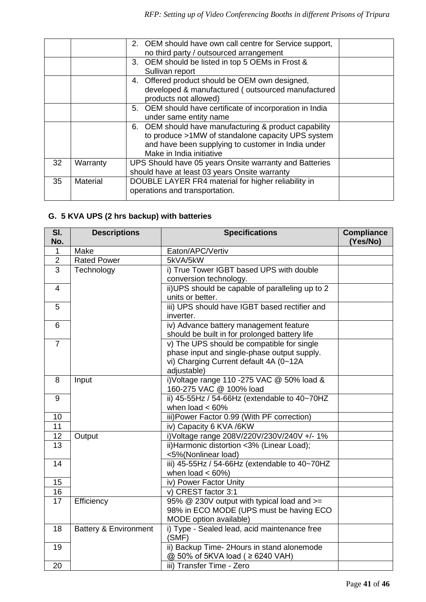|    |          | 2. OEM should have own call centre for Service support,  |
|----|----------|----------------------------------------------------------|
|    |          | no third party / outsourced arrangement                  |
|    |          | 3. OEM should be listed in top 5 OEMs in Frost &         |
|    |          | Sullivan report                                          |
|    |          | 4. Offered product should be OEM own designed,           |
|    |          | developed & manufactured (outsourced manufactured        |
|    |          | products not allowed)                                    |
|    |          | 5. OEM should have certificate of incorporation in India |
|    |          | under same entity name                                   |
|    |          | 6. OEM should have manufacturing & product capability    |
|    |          | to produce >1MW of standalone capacity UPS system        |
|    |          | and have been supplying to customer in India under       |
|    |          | Make in India initiative                                 |
| 32 | Warranty | UPS Should have 05 years Onsite warranty and Batteries   |
|    |          | should have at least 03 years Onsite warranty            |
| 35 | Material | DOUBLE LAYER FR4 material for higher reliability in      |
|    |          | operations and transportation.                           |
|    |          |                                                          |

# **G. 5 KVA UPS (2 hrs backup) with batteries**

| SI.<br>No.     | <b>Descriptions</b>              | <b>Specifications</b>                                                                                                                              | <b>Compliance</b><br>(Yes/No) |
|----------------|----------------------------------|----------------------------------------------------------------------------------------------------------------------------------------------------|-------------------------------|
| 1              | Make                             | Eaton/APC/Vertiv                                                                                                                                   |                               |
| $\overline{2}$ | <b>Rated Power</b>               | 5kVA/5kW                                                                                                                                           |                               |
| 3              | Technology                       | i) True Tower IGBT based UPS with double<br>conversion technology.                                                                                 |                               |
| 4              |                                  | ii) UPS should be capable of paralleling up to 2<br>units or better.                                                                               |                               |
| 5              |                                  | iii) UPS should have IGBT based rectifier and<br>inverter.                                                                                         |                               |
| 6              |                                  | iv) Advance battery management feature<br>should be built in for prolonged battery life                                                            |                               |
| $\overline{7}$ |                                  | v) The UPS should be compatible for single<br>phase input and single-phase output supply.<br>vi) Charging Current default 4A (0~12A<br>adjustable) |                               |
| 8              | Input                            | i) Voltage range 110 -275 VAC @ 50% load &<br>160-275 VAC @ 100% load                                                                              |                               |
| 9              |                                  | ii) 45-55Hz / 54-66Hz (extendable to 40~70HZ<br>when load $< 60\%$                                                                                 |                               |
| 10             |                                  | iii) Power Factor 0.99 (With PF correction)                                                                                                        |                               |
| 11             |                                  | iv) Capacity 6 KVA /6KW                                                                                                                            |                               |
| 12             | Output                           | i) Voltage range 208V/220V/230V/240V +/- 1%                                                                                                        |                               |
| 13             |                                  | ii) Harmonic distortion <3% (Linear Load);<br><5%(Nonlinear load)                                                                                  |                               |
| 14             |                                  | iii) 45-55Hz / 54-66Hz (extendable to 40~70HZ<br>when load $< 60\%$ )                                                                              |                               |
| 15             |                                  | iv) Power Factor Unity                                                                                                                             |                               |
| 16             |                                  | v) CREST factor 3:1                                                                                                                                |                               |
| 17             | Efficiency                       | 95% @ 230V output with typical load and >=<br>98% in ECO MODE (UPS must be having ECO<br>MODE option available)                                    |                               |
| 18             | <b>Battery &amp; Environment</b> | i) Type - Sealed lead, acid maintenance free<br>(SMF)                                                                                              |                               |
| 19             |                                  | ii) Backup Time- 2Hours in stand alonemode<br>@ 50% of 5KVA load ( ≥ 6240 VAH)                                                                     |                               |
| 20             |                                  | iii) Transfer Time - Zero                                                                                                                          |                               |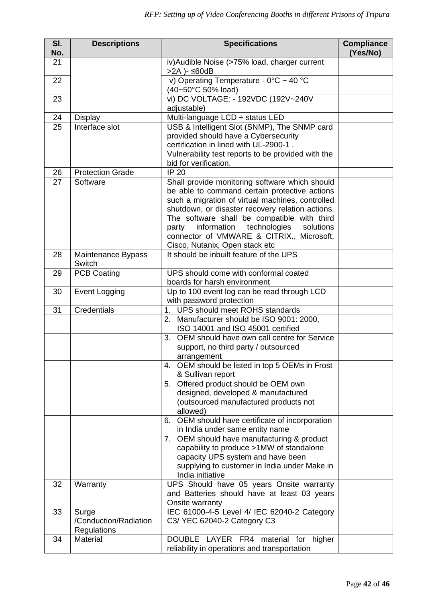| SI.<br>No. | <b>Descriptions</b>     | <b>Specifications</b>                                                                         | <b>Compliance</b><br>(Yes/No) |
|------------|-------------------------|-----------------------------------------------------------------------------------------------|-------------------------------|
| 21         |                         | iv) Audible Noise (>75% load, charger current<br>$>2A$ ) - $\leq 60dB$                        |                               |
| 22         |                         | v) Operating Temperature - $0^{\circ}$ C ~ 40 °C<br>(40~50°C 50% load)                        |                               |
| 23         |                         | vi) DC VOLTAGE: - 192VDC (192V~240V                                                           |                               |
| 24         | <b>Display</b>          | adjustable)<br>Multi-language LCD + status LED                                                |                               |
| 25         | Interface slot          | USB & Intelligent Slot (SNMP), The SNMP card                                                  |                               |
|            |                         | provided should have a Cybersecurity                                                          |                               |
|            |                         | certification in lined with UL-2900-1.                                                        |                               |
|            |                         | Vulnerability test reports to be provided with the                                            |                               |
|            |                         | bid for verification.                                                                         |                               |
| 26         | <b>Protection Grade</b> | <b>IP 20</b>                                                                                  |                               |
| 27         | Software                | Shall provide monitoring software which should                                                |                               |
|            |                         | be able to command certain protective actions                                                 |                               |
|            |                         | such a migration of virtual machines, controlled                                              |                               |
|            |                         | shutdown, or disaster recovery relation actions.                                              |                               |
|            |                         | The software shall be compatible with third<br>information technologies<br>party<br>solutions |                               |
|            |                         | connector of VMWARE & CITRIX., Microsoft,                                                     |                               |
|            |                         | Cisco, Nutanix, Open stack etc                                                                |                               |
| 28         | Maintenance Bypass      | It should be inbuilt feature of the UPS                                                       |                               |
|            | Switch                  |                                                                                               |                               |
| 29         | <b>PCB Coating</b>      | UPS should come with conformal coated                                                         |                               |
|            |                         | boards for harsh environment                                                                  |                               |
| 30         | Event Logging           | Up to 100 event log can be read through LCD                                                   |                               |
| 31         | Credentials             | with password protection<br>1.<br>UPS should meet ROHS standards                              |                               |
|            |                         | 2. Manufacturer should be ISO 9001: 2000,                                                     |                               |
|            |                         | ISO 14001 and ISO 45001 certified                                                             |                               |
|            |                         | 3. OEM should have own call centre for Service                                                |                               |
|            |                         | support, no third party / outsourced                                                          |                               |
|            |                         | arrangement                                                                                   |                               |
|            |                         | 4. OEM should be listed in top 5 OEMs in Frost                                                |                               |
|            |                         | & Sullivan report                                                                             |                               |
|            |                         | 5. Offered product should be OEM own<br>designed, developed & manufactured                    |                               |
|            |                         | (outsourced manufactured products not                                                         |                               |
|            |                         | allowed)                                                                                      |                               |
|            |                         | 6. OEM should have certificate of incorporation                                               |                               |
|            |                         | in India under same entity name                                                               |                               |
|            |                         | 7. OEM should have manufacturing & product                                                    |                               |
|            |                         | capability to produce >1MW of standalone                                                      |                               |
|            |                         | capacity UPS system and have been                                                             |                               |
|            |                         | supplying to customer in India under Make in<br>India initiative                              |                               |
| 32         | Warranty                | UPS Should have 05 years Onsite warranty                                                      |                               |
|            |                         | and Batteries should have at least 03 years                                                   |                               |
|            |                         | Onsite warranty                                                                               |                               |
| 33         | Surge                   | IEC 61000-4-5 Level 4/ IEC 62040-2 Category                                                   |                               |
|            | /Conduction/Radiation   | C3/ YEC 62040-2 Category C3                                                                   |                               |
|            | Regulations             |                                                                                               |                               |
| 34         | Material                | DOUBLE LAYER FR4 material for higher                                                          |                               |
|            |                         | reliability in operations and transportation                                                  |                               |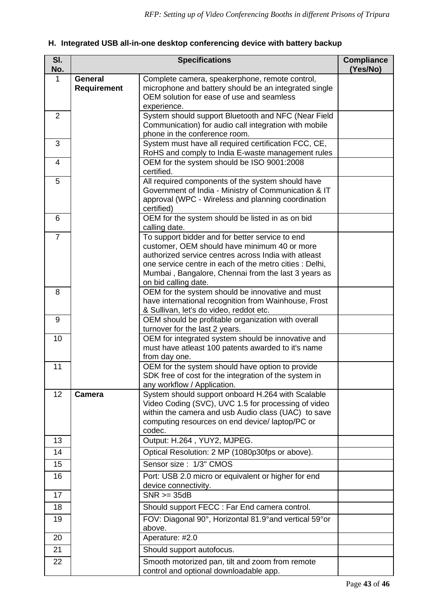# **H. Integrated USB all-in-one desktop conferencing device with battery backup**

| SI.<br>No.      |                                      | <b>Specifications</b>                                                                                                                                                                                                                                                                             | <b>Compliance</b><br>(Yes/No) |
|-----------------|--------------------------------------|---------------------------------------------------------------------------------------------------------------------------------------------------------------------------------------------------------------------------------------------------------------------------------------------------|-------------------------------|
| 1               | <b>General</b><br><b>Requirement</b> | Complete camera, speakerphone, remote control,<br>microphone and battery should be an integrated single<br>OEM solution for ease of use and seamless<br>experience.                                                                                                                               |                               |
| $\overline{2}$  |                                      | System should support Bluetooth and NFC (Near Field<br>Communication) for audio call integration with mobile<br>phone in the conference room.                                                                                                                                                     |                               |
| 3               |                                      | System must have all required certification FCC, CE,<br>RoHS and comply to India E-waste management rules                                                                                                                                                                                         |                               |
| 4               |                                      | OEM for the system should be ISO 9001:2008<br>certified.                                                                                                                                                                                                                                          |                               |
| 5               |                                      | All required components of the system should have<br>Government of India - Ministry of Communication & IT<br>approval (WPC - Wireless and planning coordination<br>certified)                                                                                                                     |                               |
| 6               |                                      | OEM for the system should be listed in as on bid<br>calling date.                                                                                                                                                                                                                                 |                               |
| $\overline{7}$  |                                      | To support bidder and for better service to end<br>customer, OEM should have minimum 40 or more<br>authorized service centres across India with atleast<br>one service centre in each of the metro cities : Delhi,<br>Mumbai, Bangalore, Chennai from the last 3 years as<br>on bid calling date. |                               |
| 8               |                                      | OEM for the system should be innovative and must<br>have international recognition from Wainhouse, Frost<br>& Sullivan, let's do video, reddot etc.                                                                                                                                               |                               |
| 9               |                                      | OEM should be profitable organization with overall<br>turnover for the last 2 years.                                                                                                                                                                                                              |                               |
| 10              |                                      | OEM for integrated system should be innovative and<br>must have atleast 100 patents awarded to it's name<br>from day one.                                                                                                                                                                         |                               |
| 11              |                                      | OEM for the system should have option to provide<br>SDK free of cost for the integration of the system in<br>any workflow / Application.                                                                                                                                                          |                               |
| 12 <sub>2</sub> | <b>Camera</b>                        | System should support onboard H.264 with Scalable<br>Video Coding (SVC), UVC 1.5 for processing of video<br>within the camera and usb Audio class (UAC) to save<br>computing resources on end device/laptop/PC or<br>codec.                                                                       |                               |
| 13              |                                      | Output: H.264, YUY2, MJPEG.                                                                                                                                                                                                                                                                       |                               |
| 14              |                                      | Optical Resolution: 2 MP (1080p30fps or above).                                                                                                                                                                                                                                                   |                               |
| 15              |                                      | Sensor size: 1/3" CMOS                                                                                                                                                                                                                                                                            |                               |
| 16              |                                      | Port: USB 2.0 micro or equivalent or higher for end<br>device connectivity.                                                                                                                                                                                                                       |                               |
| 17              |                                      | $SNR \geq 35dB$                                                                                                                                                                                                                                                                                   |                               |
| 18              |                                      | Should support FECC : Far End camera control.                                                                                                                                                                                                                                                     |                               |
| 19              |                                      | FOV: Diagonal 90°, Horizontal 81.9° and vertical 59° or<br>above.                                                                                                                                                                                                                                 |                               |
| 20              |                                      | Aperature: #2.0                                                                                                                                                                                                                                                                                   |                               |
| 21              |                                      | Should support autofocus.                                                                                                                                                                                                                                                                         |                               |
| 22              |                                      | Smooth motorized pan, tilt and zoom from remote<br>control and optional downloadable app.                                                                                                                                                                                                         |                               |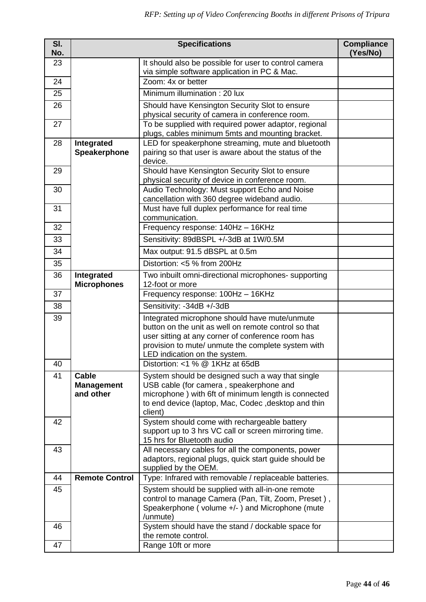| SI.<br>No. |                                                | <b>Specifications</b>                                                                                                                                                                                                                             | <b>Compliance</b><br>(Yes/No) |  |  |  |  |  |  |  |
|------------|------------------------------------------------|---------------------------------------------------------------------------------------------------------------------------------------------------------------------------------------------------------------------------------------------------|-------------------------------|--|--|--|--|--|--|--|
| 23         |                                                | It should also be possible for user to control camera<br>via simple software application in PC & Mac.                                                                                                                                             |                               |  |  |  |  |  |  |  |
| 24         |                                                | Zoom: 4x or better                                                                                                                                                                                                                                |                               |  |  |  |  |  |  |  |
| 25         |                                                | Minimum illumination: 20 lux                                                                                                                                                                                                                      |                               |  |  |  |  |  |  |  |
| 26         |                                                | Should have Kensington Security Slot to ensure                                                                                                                                                                                                    |                               |  |  |  |  |  |  |  |
|            |                                                | physical security of camera in conference room.                                                                                                                                                                                                   |                               |  |  |  |  |  |  |  |
| 27         |                                                | To be supplied with required power adaptor, regional                                                                                                                                                                                              |                               |  |  |  |  |  |  |  |
| 28         | Integrated                                     | plugs, cables minimum 5mts and mounting bracket.<br>LED for speakerphone streaming, mute and bluetooth                                                                                                                                            |                               |  |  |  |  |  |  |  |
|            | Speakerphone                                   | pairing so that user is aware about the status of the                                                                                                                                                                                             |                               |  |  |  |  |  |  |  |
| 29         |                                                | device.                                                                                                                                                                                                                                           |                               |  |  |  |  |  |  |  |
|            |                                                | Should have Kensington Security Slot to ensure<br>physical security of device in conference room.                                                                                                                                                 |                               |  |  |  |  |  |  |  |
| 30         |                                                | Audio Technology: Must support Echo and Noise                                                                                                                                                                                                     |                               |  |  |  |  |  |  |  |
| 31         |                                                | cancellation with 360 degree wideband audio.<br>Must have full duplex performance for real time                                                                                                                                                   |                               |  |  |  |  |  |  |  |
|            |                                                | communication.                                                                                                                                                                                                                                    |                               |  |  |  |  |  |  |  |
| 32         |                                                | Frequency response: 140Hz - 16KHz                                                                                                                                                                                                                 |                               |  |  |  |  |  |  |  |
| 33         |                                                | Sensitivity: 89dBSPL +/-3dB at 1W/0.5M                                                                                                                                                                                                            |                               |  |  |  |  |  |  |  |
| 34         |                                                | Max output: 91.5 dBSPL at 0.5m                                                                                                                                                                                                                    |                               |  |  |  |  |  |  |  |
| 35         |                                                | Distortion: <5 % from 200Hz                                                                                                                                                                                                                       |                               |  |  |  |  |  |  |  |
| 36         | Integrated<br><b>Microphones</b>               | Two inbuilt omni-directional microphones- supporting<br>12-foot or more                                                                                                                                                                           |                               |  |  |  |  |  |  |  |
| 37         |                                                | Frequency response: 100Hz - 16KHz                                                                                                                                                                                                                 |                               |  |  |  |  |  |  |  |
| 38         |                                                | Sensitivity: -34dB +/-3dB                                                                                                                                                                                                                         |                               |  |  |  |  |  |  |  |
| 39         |                                                | Integrated microphone should have mute/unmute<br>button on the unit as well on remote control so that<br>user sitting at any corner of conference room has<br>provision to mute/ unmute the complete system with<br>LED indication on the system. |                               |  |  |  |  |  |  |  |
| 40         |                                                | Distortion: <1 % @ 1KHz at 65dB                                                                                                                                                                                                                   |                               |  |  |  |  |  |  |  |
| 41         | <b>Cable</b><br><b>Management</b><br>and other | System should be designed such a way that single<br>USB cable (for camera, speakerphone and<br>microphone) with 6ft of minimum length is connected<br>to end device (laptop, Mac, Codec, desktop and thin<br>client)                              |                               |  |  |  |  |  |  |  |
| 42         |                                                | System should come with rechargeable battery<br>support up to 3 hrs VC call or screen mirroring time.<br>15 hrs for Bluetooth audio                                                                                                               |                               |  |  |  |  |  |  |  |
| 43         |                                                | All necessary cables for all the components, power<br>adaptors, regional plugs, quick start guide should be<br>supplied by the OEM.                                                                                                               |                               |  |  |  |  |  |  |  |
| 44         | <b>Remote Control</b>                          | Type: Infrared with removable / replaceable batteries.                                                                                                                                                                                            |                               |  |  |  |  |  |  |  |
| 45         |                                                | System should be supplied with all-in-one remote<br>control to manage Camera (Pan, Tilt, Zoom, Preset),<br>Speakerphone (volume +/-) and Microphone (mute<br>/unmute)                                                                             |                               |  |  |  |  |  |  |  |
| 46         |                                                | System should have the stand / dockable space for<br>the remote control.                                                                                                                                                                          |                               |  |  |  |  |  |  |  |
| 47         |                                                | Range 10ft or more                                                                                                                                                                                                                                |                               |  |  |  |  |  |  |  |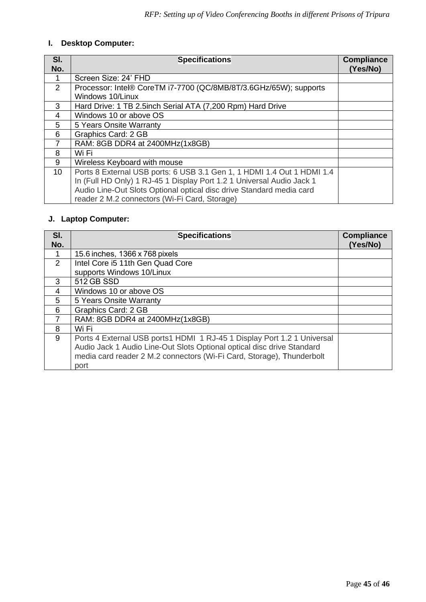# **I. Desktop Computer:**

| SI.             | <b>Specifications</b>                                                  | <b>Compliance</b> |
|-----------------|------------------------------------------------------------------------|-------------------|
| No.             |                                                                        | (Yes/No)          |
|                 | Screen Size: 24' FHD                                                   |                   |
| $\mathcal{P}$   | Processor: Intel® CoreTM i7-7700 (QC/8MB/8T/3.6GHz/65W); supports      |                   |
|                 | Windows 10/Linux                                                       |                   |
| 3               | Hard Drive: 1 TB 2.5inch Serial ATA (7,200 Rpm) Hard Drive             |                   |
| 4               | Windows 10 or above OS                                                 |                   |
| 5               | 5 Years Onsite Warranty                                                |                   |
| 6               | <b>Graphics Card: 2 GB</b>                                             |                   |
|                 | RAM: 8GB DDR4 at 2400MHz(1x8GB)                                        |                   |
| 8               | Wi Fi                                                                  |                   |
| 9               | Wireless Keyboard with mouse                                           |                   |
| 10 <sup>°</sup> | Ports 8 External USB ports: 6 USB 3.1 Gen 1, 1 HDMI 1.4 Out 1 HDMI 1.4 |                   |
|                 | In (Full HD Only) 1 RJ-45 1 Display Port 1.2 1 Universal Audio Jack 1  |                   |
|                 | Audio Line-Out Slots Optional optical disc drive Standard media card   |                   |
|                 | reader 2 M.2 connectors (Wi-Fi Card, Storage)                          |                   |

# **J. Laptop Computer:**

| SI.<br>No.     | <b>Specifications</b>                                                                                                                                   | <b>Compliance</b><br>(Yes/No) |
|----------------|---------------------------------------------------------------------------------------------------------------------------------------------------------|-------------------------------|
|                | 15.6 inches, 1366 x 768 pixels                                                                                                                          |                               |
| $\overline{2}$ | Intel Core i5 11th Gen Quad Core                                                                                                                        |                               |
|                | supports Windows 10/Linux                                                                                                                               |                               |
| 3              | 512 GB SSD                                                                                                                                              |                               |
| 4              | Windows 10 or above OS                                                                                                                                  |                               |
| 5              | 5 Years Onsite Warranty                                                                                                                                 |                               |
| 6              | Graphics Card: 2 GB                                                                                                                                     |                               |
|                | RAM: 8GB DDR4 at 2400MHz(1x8GB)                                                                                                                         |                               |
| 8              | Wi Fi                                                                                                                                                   |                               |
| 9              | Ports 4 External USB ports1 HDMI 1 RJ-45 1 Display Port 1.2 1 Universal                                                                                 |                               |
|                | Audio Jack 1 Audio Line-Out Slots Optional optical disc drive Standard<br>media card reader 2 M.2 connectors (Wi-Fi Card, Storage), Thunderbolt<br>port |                               |